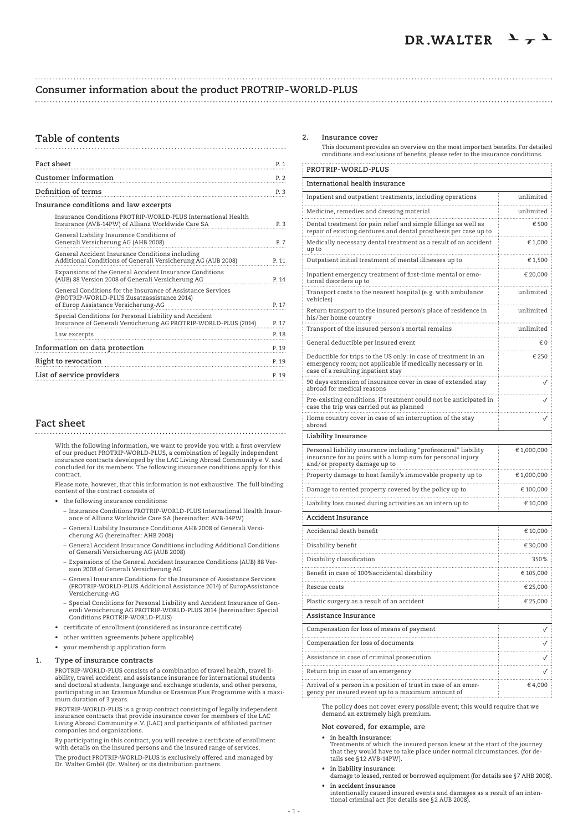# **Consumer information about the product PROTRIP-WORLD-PLUS**

# 

| Table of contents                                                                                                                                |       |
|--------------------------------------------------------------------------------------------------------------------------------------------------|-------|
| Fact sheet                                                                                                                                       | P. 1  |
| <b>Customer information</b>                                                                                                                      | P. 2  |
| Definition of terms                                                                                                                              | P. 3  |
| Insurance conditions and law excerpts                                                                                                            |       |
| Insurance Conditions PROTRIP-WORLD-PLUS International Health<br>Insurance (AVB-14PW) of Allianz Worldwide Care SA                                | P. 3  |
| General Liability Insurance Conditions of<br>Generali Versicherung AG (AHB 2008)                                                                 | P. 7  |
| General Accident Insurance Conditions including<br>Additional Conditions of Generali Versicherung AG (AUB 2008)                                  | P. 11 |
| Expansions of the General Accident Insurance Conditions<br>(AUB) 88 Version 2008 of Generali Versicherung AG                                     | P. 14 |
| General Conditions for the Insurance of Assistance Services<br>(PROTRIP-WORLD-PLUS Zusatzassistance 2014)<br>of Europ Assistance Versicherung-AG | P. 17 |
| Special Conditions for Personal Liability and Accident<br>Insurance of Generali Versicherung AG PROTRIP-WORLD-PLUS (2014)                        | P. 17 |
| Law excerpts                                                                                                                                     | P. 18 |
| Information on data protection                                                                                                                   | P. 19 |
| Right to revocation                                                                                                                              | P. 19 |

**Fact sheet**

**List of service providers P. 19** 

With the following information, we want to provide you with a first overview<br>of our product PROTRIP-WORLD-PLUS, a combination of legally independent<br>insurance contracts developed by the LAC Living Abroad Community e.V. and concluded for its members. The following insurance conditions apply for this contract.

 Please note, however, that this information is not exhaustive. The full binding content of the contract consists of

- the following insurance conditions:
	- Insurance Conditions PROTRIP-WORLD-PLUS International Health Insurance of Allianz Worldwide Care SA (hereinafter: AVB-14PW)
- General Liability Insurance Conditions AHB 2008 of Generali Versi-cherung AG (hereinafter: AHB 2008)
	- General Accident Insurance Conditions including Additional Conditions of Generali Versicherung AG (AUB 2008)
	- Expansions of the General Accident Insurance Conditions (AUB) 88 Version 2008 of Generali Versicherung AG
	- General Insurance Conditions for the Insurance of Assistance Services (PROTRIP-WORLD-PLUS Additional Assistance 2014) of EuropAssistance Versicherung-AG
- Special Conditions for Personal Liability and Accident Insurance of Gen-erali Versicherung AG PROTRIP-WORLD-PLUS 2014 (hereinafter: Special Conditions PROTRIP-WORLD-PLUS)
	- • certificate of enrollment (considered as insurance certificate)
	- • other written agreements (where applicable)
	- your membership application form

#### **1. Type of insurance contracts**

 PROTRIP-WORLD-PLUS consists of a combination of travel health, travel liability, travel accident, and assistance insurance for international students and doctoral students, language and exchange students, and other persons, participating in an Erasmus Mundus or Erasmus Plus Programme with a maximum duration of 3 years.

 PROTRIP-WORLD-PLUS is a group contract consisting of legally independent insurance contracts that provide insurance cover for members of the LAC Living Abroad Community e.V. (LAC) and participants of affiliated partner companies and organizations.

By participating in this contract, you will receive a certificate of enrollment with details on the insured persons and the insured range of services.

The product PROTRIP-WORLD-PLUS is exclusively offered and managed by Dr. Walter GmbH (Dr. Walter) or its distribution partners.

# **2. Insurance cover**

 This document provides an overview on the most important benefits. For detailed conditions and exclusions of benefits, please refer to the insurance conditions.

| PROTRIP-WORLD-PLUS                                                                                                                                                   |                  |  |
|----------------------------------------------------------------------------------------------------------------------------------------------------------------------|------------------|--|
| International health insurance                                                                                                                                       |                  |  |
| Inpatient and outpatient treatments, including operations                                                                                                            | unlimited<br>.   |  |
| Medicine, remedies and dressing material                                                                                                                             | unlimited        |  |
| Dental treatment for pain relief and simple fillings as well as<br>repair of existing dentures and dental prosthesis per case up to                                  | € 500            |  |
| Medically necessary dental treatment as a result of an accident<br>up to                                                                                             | € 1,000          |  |
| Outpatient initial treatment of mental illnesses up to                                                                                                               | € 1,500          |  |
| Inpatient emergency treatment of first-time mental or emo-<br>tional disorders up to                                                                                 | € 20,000         |  |
| Transport costs to the nearest hospital (e.g. with ambulance<br>vehicles)                                                                                            | unlimited        |  |
| Return transport to the insured person's place of residence in<br>his/her home country<br>.                                                                          | unlimited        |  |
| Transport of the insured person's mortal remains                                                                                                                     | unlimited        |  |
| General deductible per insured event                                                                                                                                 | €0               |  |
| Deductible for trips to the US only: in case of treatment in an<br>emergency room; not applicable if medically necessary or in<br>case of a resulting inpatient stay | € 250            |  |
| 90 days extension of insurance cover in case of extended stay<br>abroad for medical reasons                                                                          |                  |  |
| Pre-existing conditions, if treatment could not be anticipated in<br>case the trip was carried out as planned                                                        |                  |  |
| Home country cover in case of an interruption of the stay<br>abroad                                                                                                  |                  |  |
| Liability Insurance                                                                                                                                                  |                  |  |
| Personal liability insurance including "professional" liability<br>insurance for au pairs with a lump sum for personal injury<br>and/or property damage up to        | €1,000,000       |  |
| Property damage to host family's immovable property up to                                                                                                            | € 1,000,000<br>. |  |
| Damage to rented property covered by the policy up to                                                                                                                | € 100,000        |  |
| Liability loss caused during activities as an intern up to                                                                                                           | .<br>€ 10,000    |  |
| Accident Insurance                                                                                                                                                   |                  |  |
| Accidental death benefit                                                                                                                                             | € 10,000         |  |
| Disability benefit                                                                                                                                                   | € 30,000         |  |
| Disability classification                                                                                                                                            | .<br>350%        |  |
| Benefit in case of 100% accidental disability                                                                                                                        | .<br>€ 105,000   |  |
| Rescue costs                                                                                                                                                         | .<br>€ 25,000    |  |
| Plastic surgery as a result of an accident                                                                                                                           | € 25,000         |  |
| Assistance Insurance                                                                                                                                                 |                  |  |
| Compensation for loss of means of payment                                                                                                                            |                  |  |
| Compensation for loss of documents                                                                                                                                   |                  |  |
| Assistance in case of criminal prosecution                                                                                                                           | ✓                |  |
| Return trip in case of an emergency                                                                                                                                  | ✓                |  |
| Arrival of a person in a position of trust in case of an emer-<br>gency per insured event up to a maximum amount of                                                  | € 4,000          |  |

 The policy does not cover every possible event; this would require that we demand an extremely high premium.

# **Not covered, for example, are**

- **• in health insurance:** Treatments of which the insured person knew at the start of the journey that they would have to take place under normal circumstances. (for details see §12 AVB-14PW).
- 
- **• in liability insurance:** damage to leased, rented or borrowed equipment (for details see §7 AHB 2008).
- **• in accident insurance** intentionally caused insured events and damages as a result of an intentional criminal act (for details see §2 AUB 2008).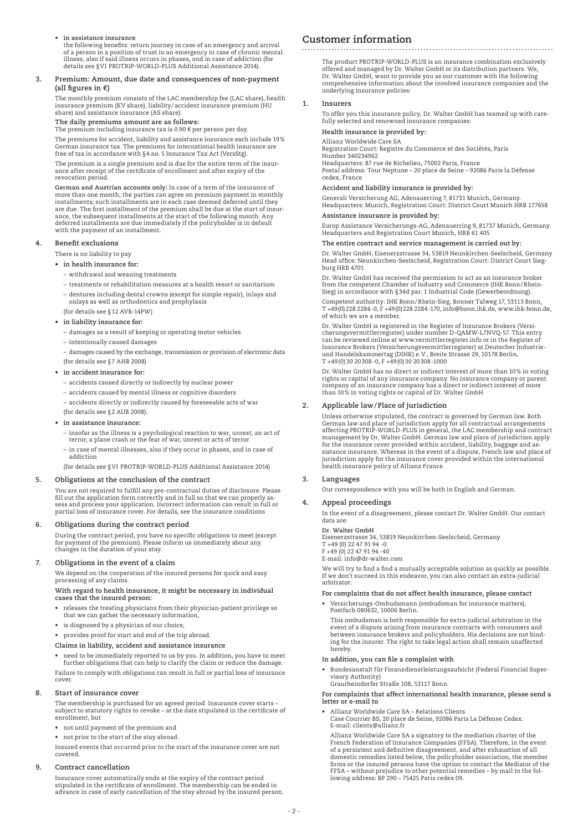# **• in assistance insurance**

the following benefits: return journey in case of an emergency and arrival of a person in a position of trust in an emergency in case of chronic mental illness, also if said illness occurs in phases, and in case of addiction (for details see §VI PROTRIP-WORLD-PLUS Additional Assistance 2014).

#### **3. Premium: Amount, due date and consequences of non-payment (all figures in €)**

 The monthly premium consists of the LAC membership fee (LAC share), health insurance premium (KV share), liability/accident insurance premium (HU share) and assistance insurance (AS share).

# **The daily premiums amount are as follows:**

The premium including insurance tax is 0.90  $\epsilon$  per person per day.

 The premiums for accident, liability and assistance insurance each include 19% German insurance tax. The premiums for international health insurance are free of tax in accordance with §4 no. 5 Insurance Tax Act (VersStg).

 The premium is a single premium and is due for the entire term of the insurance after receipt of the certificate of enrollment and after expiry of the revocation period.

 **German and Austrian accounts only:** In case of a term of the insurance of more than one month, the parties can agree on premium payment in monthly installments; such installments are in each case deemed deferred until they are due. The first installment of the premium shall be due at the start of insurance, the subsequent installments at the start of the following month. Any deferred installments are due immediately if the policyholder is in default with the payment of an installment.

# **4. Benefit exclusions**

- There is no liability to pay
- **• in health insurance for:**
	- withdrawal and weaning treatments
	- treatments or rehabilitation measures at a health resort or sanitarium – dentures including dental crowns (except for simple repair), inlays and onlays as well as orthodontics and prophylaxis
	- (for details see §12 AVB-14PW)
- **• in liability insurance for:**
	- damages as a result of keeping or operating motor vehicles
	- intentionally caused damages
	- damages caused by the exchange, transmission or provision of electronic data
- (for details see §7 AHB 2008)  **• in accident insurance for:**
- 
- accidents caused directly or indirectly by nuclear power
- accidents caused by mental illness or cognitive disorders
- accidents directly or indirectly caused by foreseeable acts of war (for details see §2 AUB 2008).
- **• in assistance insurance:**
- insofar as the illness is a psychological reaction to war, unrest, an act of terror, a plane crash or the fear of war, unrest or acts of terror
	- in case of mental illnesses, also if they occur in phases, and in case of addiction
	- (for details see §VI PROTRIP-WORLD-PLUS Additional Assistance 2014)

# **5. Obligations at the conclusion of the contract**

 You are not required to fulfill any pre-contractual duties of disclosure. Please fill out the application form correctly and in full so that we can properly as-sess and process your application. Incorrect information can result in full or partial loss of insurance cover. For details, see the insurance conditions

#### **6. Obligations during the contract period**

 During the contract period, you have no specific obligations to meet (except for payment of the premium). Please inform us immediately about any changes in the duration of your stay.

#### **7. Obligations in the event of a claim**

 We depend on the cooperation of the insured persons for quick and easy processing of any claims.

#### **With regard to health insurance, it might be necessary in individual cases that the insured person:**

- • releases the treating physicians from their physician-patient privilege so that we can gather the necessary information,
	- • is diagnosed by a physician of our choice,
	- • provides proof for start and end of the trip abroad.

# **Claims in liability, accident and assistance insurance**

 • need to be immediately reported to us by you. In addition, you have to meet further obligations that can help to clarify the claim or reduce the damage. Failure to comply with obligations can result in full or partial loss of insurance cover.

#### **8. Start of insurance cover**

 The membership is purchased for an agreed period. Insurance cover starts – subject to statutory rights to revoke – at the date stipulated in the certificate of enrollment, but

- • not until payment of the premium and
- • not prior to the start of the stay abroad.

 Insured events that occurred prior to the start of the insurance cover are not covered.

# **9. Contract cancellation**

 Insurance cover automatically ends at the expiry of the contract period stipulated in the certificate of enrollment. The membership can be ended in advance in case of early cancellation of the stay abroad by the insured person.

# **Customer information**

 The product PROTRIP-WORLD-PLUS is an insurance combination exclusively offered and managed by Dr. Walter GmbH or its distribution partners. We, Dr. Walter GmbH, want to provide you as our customer with the following comprehensive information about the involved insurance companies and the underlying insurance policies:

# **1. Insurers**

 To offer you this insurance policy, Dr. Walter GmbH has teamed up with carefully selected and renowned insurance companies:

# **Health insurance is provided by:**

 Allianz Worldwide Care SA Registration Court: Registre du Commerce et des Sociétés, Paris Number 340234962 Headquarters: 87 rue de Richelieu, 75002 Paris, France Postal address: Tour Neptune – 20 place de Seine – 92086 Paris la Défense cedex, France

# **Accident and liability insurance is provided by:**

Generali Versicherung AG, Adenauerring 7, 81731 Munich, Germany. Headquarters: Munich, Registration Court: District Court Munich HRB 177658

#### **Assistance insurance is provided by:**

 Europ Assistance Versicherungs-AG, Adenauerring 9, 81737 Munich, Germany. Headquarters and Registration Court Munich, HRB 61 405

# **The entire contract and service management is carried out by:**

 Dr. Walter GmbH, Eisenerzstrasse 34, 53819 Neunkirchen-Seelscheid, Germany Head office: Neunkirchen-Seelscheid, Registration Court: District Court Siegburg HRB 4701

 Dr. Walter GmbH has received the permission to act as an insurance broker from the competent Chamber of Industry and Commerce (IHK Bonn/Rhein-Sieg) in accordance with §34d par. 1 Industrial Code (Gewerbeordnung).

Competent authority: IHK Bonn/Rhein-Sieg, Bonner Talweg 17, 53113 Bonn,<br>T +49(0)228 2284 -0, F +49(0)228 2284 -170, info@bonn.ihk.de, www.ihk-bonn.de, of which we are a member.

 Dr. Walter GmbH is registered in the Register of Insurance Brokers (Versi-cherungsvermittlerregister) under number D-QAMW-L7NVQ-57. This entry can be reviewed online at www.vermittlerregister.info or in the Register of<br>Insurance Brokers (Versicherungsvermittlerregister) at Deutscher Industrie-<br>und Handelskammertag (DIHK) e.V., Breite Strasse 29, 10178 Berlin,<br>T +

 Dr. Walter GmbH has no direct or indirect interest of more than 10% in voting rights or capital of any insurance company. No insurance company or parent company of an insurance company has a direct or indirect interest of more than 10% in voting rights or capital of Dr. Walter GmbH

#### **2. Applicable law/Place of jurisdiction**

 Unless otherwise stipulated, the contract is governed by German law. Both German law and place of jurisdiction apply for all contractual arrangements affecting PROTRIP-WORLD-PLUS in general, the LAC membership and contract management by Dr. Walter GmbH. German law and place of jurisdiction apply for the insurance cover provided within accident, liability, baggage and as-sistance insurance. Whereas in the event of a dispute, French law and place of jurisdiction apply for the insurance cover provided within the international health insurance policy of Allianz France.

# **3. Languages**

Our correspondence with you will be both in English and German.

# **4. Appeal proceedings**

 In the event of a disagreement, please contact Dr. Walter GmbH. Our contact data are:

 **Dr. Walter GmbH** Eisenerzstrasse 34, 53819 Neunkirchen-Seelscheid, Germany

T +49 (0) 22 47 91 94 -0 F +49 (0) 22 47 91 94 -40

E-mail: info@dr-walter.com

 We will try to find a find a mutually acceptable solution as quickly as possible. If we don't succeed in this endeavor, you can also contact an extra-judicial arbitrator:

**For complaints that do not affect health insurance, please contact**

 • Versicherungs-Ombudsmann (ombudsman for insurance matters), Postfach 080632, 10006 Berlin.

 This ombudsman is both responsible for extra-judicial arbitration in the event of a dispute arising from insurance contracts with consumers and between insurance brokers and policyholders. His decisions are not binding for the insurer. The right to take legal action shall remain unaffected hereby.

**In addition, you can file a complaint with**

- Bundesanstalt für Finanzdienstleistungsaufsicht (Federal Financial Supervisory Authority)
	- Graurheindorfer Straße 108, 53117 Bonn.

 **For complaints that affect international health insurance, please send a letter or e-mail to**

- 
- • Allianz Worldwide Care SA Relations Clients Case Courrier BS, 20 place de Seine, 92086 Paris La Défense Cedex. E-mail: clients@allianz.fr

 Allianz Worldwide Care SA a signatory to the mediation charter of the French Federation of Insurance Companies (FFSA). Therefore, in the event of a persistent and definitive disagreement, and after exhaustion of all domestic remedies listed below, the policyholder association, the member firms or the insured persons have the option to contact the Mediator of the FFSA – without prejudice to other potential remedies – by mail to the fol-lowing address: BP 290 – 75425 Paris cedex 09.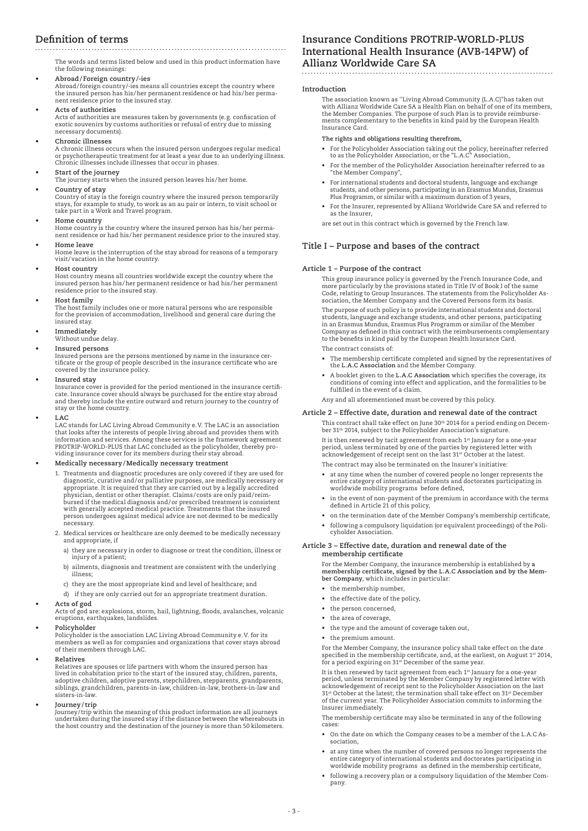# **Definition of terms**

 The words and terms listed below and used in this product information have the following meanings:

**• Abroad/ Foreign country/-ies** Abroad/foreign country/-ies means all countries except the country where the insured person has his/her permanent residence or had his/her permanent residence prior to the insured stay.

**• Acts of authorities**

Acts of authorities are measures taken by governments (e.g. confiscation of exotic souvenirs by customs authorities or refusal of entry due to missing necessary documents).

**• Chronic illnesses**

A chronic illness occurs when the insured person undergoes regular medical or psychotherapeutic treatment for at least a year due to an underlying illness. Chronic illnesses include illnesses that occur in phases.

- **• Start of the journey**
- The journey starts when the insured person leaves his/her home.

# **• Country of stay**

Country of stay is the foreign country where the insured person temporarily stays, for example to study, to work as an au pair or intern, to visit school or take part in a Work and Travel program.

**• Home country** Home country is the country where the insured person has his/her perma-nent residence or had his/her permanent residence prior to the insured stay.

**• Home leave**

Home leave is the interruption of the stay abroad for reasons of a temporary visit/vacation in the home country.

#### **• Host country**

Host country means all countries worldwide except the country where the insured person has his/her permanent residence or had his/her permanent residence prior to the insured stay.

**• Host family**

The host family includes one or more natural persons who are responsible for the provision of accommodation, livelihood and general care during the insured stay.

**• Immediately**

Without undue delay.

**Insured** persons

Insured persons are the persons mentioned by name in the insurance cer-tificate or the group of people described in the insurance certificate who are covered by the insurance policy.

**• Insured stay**

Insurance cover is provided for the period mentioned in the insurance certificate. Insurance cover should always be purchased for the entire stay abroad and thereby include the entire outward and return journey to the country of stay or the home country.

**• LAC**

LAC stands for LAC Living Abroad Community e.V. The LAC is an association that looks after the interests of people living abroad and provides them with information and services. Among these services is the framework agreement PROTRIP-WORLD-PLUS that LAC concluded as the policyholder, thereby pro-viding insurance cover for its members during their stay abroad.

#### **• Medically necessary/Medically necessary treatment**

- 1. Treatments and diagnostic procedures are only covered if they are used for diagnostic, curative and/or palliative purposes, are medically necessary or appropriate. It is required that they are carried out by a legally accredited physician, dentist or other therapist. Claims/costs are only paid/ reim-bursed if the medical diagnosis and/or prescribed treatment is consistent with generally accepted medical practice. Treatments that the insured person undergoes against medical advice are not deemed to be medically necessary.
- 2. Medical services or healthcare are only deemed to be medically necessary and appropriate, if
- a) they are necessary in order to diagnose or treat the condition, illness or injury of a patient;
	- b) ailments, diagnosis and treatment are consistent with the underlying illness;
	- c) they are the most appropriate kind and level of healthcare; and
	- d) if they are only carried out for an appropriate treatment duration.

**• Acts of god**

Acts of god are: explosions, storm, hail, lightning, floods, avalanches, volcanic eruptions, earthquakes, landslides.

# **• Policyholder**

Policyholder is the association LAC Living Abroad Community e.V. for its members as well as for companies and organizations that cover stays abroad of their members through LAC.

**• Relatives**

Relatives are spouses or life partners with whom the insured person has lived in cohabitation prior to the start of the insured stay, children, parents, adoptive children, adoptive parents, stepchildren, stepparents, grandparents, siblings, grandchildren, parents-in-law, children-in-law, brothers-in-law and sisters-in-law.

## **• Journey/trip**

Journey/trip within the meaning of this product information are all journeys undertaken during the insured stay if the distance between the whereabouts in the host country and the destination of the journey is more than 50 kilometers.

# **Insurance Conditions PROTRIP-WORLD-PLUS International Health Insurance (AVB-14PW) of Allianz Worldwide Care SA**

#### **Introduction**

 The association known as ''Living Abroad Community (L.A.C)"has taken out with Allianz Worldwide Care SA a Health Plan on behalf of one of its members, the Member Companies. The purpose of such Plan is to provide reimbursements complementary to the benefits in kind paid by the European Health Insurance Card.

# **The rights and obligations resulting therefrom,**

- • For the Policyholder Association taking out the policy, hereinafter referred to as the Policyholder Association, or the "L.A.C" Association,
	- For the member of the Policyholder Association hereinafter referred to as "the Member Company",
	- • For international students and doctoral students, language and exchange students, and other persons, participating in an Erasmus Mundus, Erasmus Plus Programm, or similar with a maximum duration of 3 years,
	- • For the Insurer, represented by Allianz Worldwide Care SA and referred to as the Insurer,
	- are set out in this contract which is governed by the French law.

# **Title I – Purpose and bases of the contract**

# **Article 1 – Purpose of the contract**

 This group insurance policy is governed by the French Insurance Code, and more particularly by the provisions stated in Title IV of Book I of the same Code, relating to Group Insurances. The statements from the Policyholder Association, the Member Company and the Covered Persons form its basis. The purpose of such policy is to provide international students and doctoral students, language and exchange students, and other persons, participating in an Erasmus Mundus, Erasmus Plus Programm or similar of the Member

Company as defined in this contract with the reimbursements complementary to the benefits in kind paid by the European Health Insurance Card. The contract consists of:

- • The membership certificate completed and signed by the representatives of the **L.A.C Association** and the Member Company.
- • A booklet given to the **L.A.C Association** which specifies the coverage, its conditions of coming into effect and application, and the formalities to be fulfilled in the event of a claim.
- Any and all aforementioned must be covered by this policy.

# **Article 2 – Effective date, duration and renewal date of the contract**

This contract shall take effect on June  $30^{\rm th}$  2014 for a period ending on December 31th 2014, subject to the Policyholder Association's signature. It is then renewed by tacit agreement from each 1<sup>st</sup> January for a one-year

period, unless terminated by one of the parties by registered letter with acknowledgement of receipt sent on the last 31st October at the latest. The contract may also be terminated on the Insurer's initiative:

- • at any time when the number of covered people no longer represents the entire category of international students and doctorates participating in worldwide mobility programs before defined,
	- in the event of non-payment of the premium in accordance with the terms defined in Article 21 of this policy,
	- on the termination date of the Member Company's membership certificate,
	- following a compulsory liquidation (or equivalent proceedings) of the Policyholder Association.

### **Article 3 – Effective date, duration and renewal date of the membership certificate**

 For the Member Company, the insurance membership is established by **a membership certificate, signed by the L.A.C Association and by the Member Company**, which includes in particular:

- • the membership number,
- • the effective date of the policy,
- • the person concerned,
- the area of coverage,
- • the type and the amount of coverage taken out,
- • the premium amount.

 For the Member Company, the insurance policy shall take effect on the date specified in the membership certificate, and, at the earliest, on August 1§ 2014,<br>for a period expiring on 31§ December of the same year.

It is then renewed by tacit agreement from each 1<sup>st</sup> January for a one-year period, unless terminated by the Member Company by registered letter with acknowledgement of receipt sent to the Policyholder Association on the last 31st October at the latest; the termination shall take effect on 31st December of the current year. The Policyholder Association commits to informing the Insurer immediately.

 The membership certificate may also be terminated in any of the following cases:

- • On the date on which the Company ceases to be a member of the L.A.C Association,
- • at any time when the number of covered persons no longer represents the entire category of international students and doctorates participating in worldwide mobility programs as defined in the membership certificate,
	- • following a recovery plan or a compulsory liquidation of the Member Company.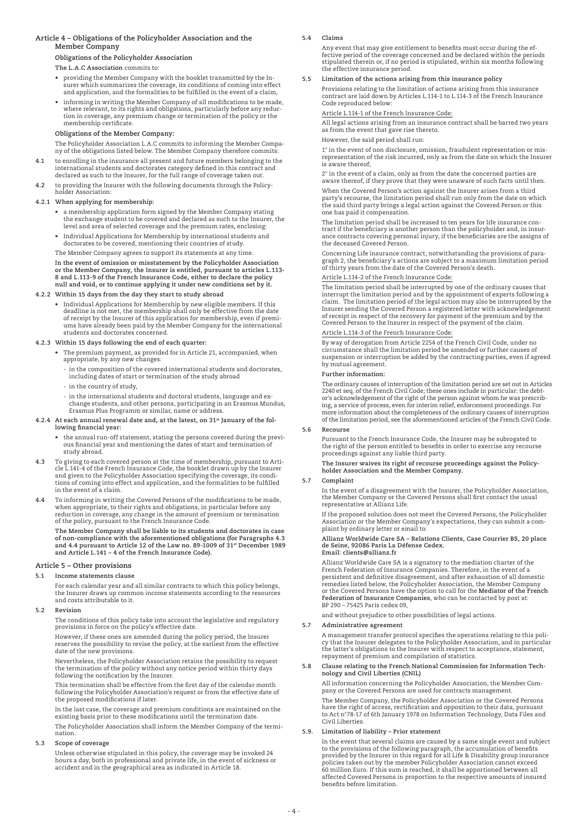# **Article 4 – Obligations of the Policyholder Association and the Member Company**

**Obligations of the Policyholder Association**

#### **The L.A.C Association** commits to:

- providing the Member Company with the booklet transmitted by the Insurer which summarizes the coverage, its conditions of coming into effect and application, and the formalities to be fulfilled in the event of a claim,
- • informing in writing the Member Company of all modifications to be made, where relevant, to its rights and obligations, particularly before any reduction in coverage, any premium change or termination of the policy or the membership certificate.

# **Obligations of the Member Company:**

 The Policyholder Association L.A.C commits to informing the Member Company of the obligations listed below. The Member Company therefore commits:

- **4.1** to enrolling in the insurance all present and future members belonging to the international students and doctorates category defined in this contract and declared as such to the Insurer, for the full range of coverage taken out.
- **4.2** to providing the Insurer with the following documents through the Policyholder Association:

#### **4.2.1 When applying for membership:**

- • a membership application form signed by the Member Company stating the exchange student to be covered and declared as such to the Insurer, the level and area of selected coverage and the premium rates, enclosing:
- • Individual Applications for Membership by international students and doctorates to be covered, mentioning their countries of study.
- The Member Company agrees to support its statements at any time.

 **In the event of omission or misstatement by the Policyholder Association or the Member Company, the Insurer is entitled, pursuant to articles L.113- 8 and L.113-9 of the French Insurance Code, either to declare the policy null and void, or to continue applying it under new conditions set by it.**

#### **4.2.2 Within 15 days from the day they start to study abroad**

Individual Applications for Membership by new eligible members. If this deadline is not met, the membership shall only be effective from the date of receipt by the Insurer of this application for membership, even if premiums have already been paid by the Member Company for the international students and doctorates concerned.

#### **4.2.3 Within 15 days following the end of each quarter:**

- • The premium payment, as provided for in Article 21, accompanied, when appropriate, by any new changes:
	- in the composition of the covered international students and doctorates, including dates of start or termination of the study abroad
	- in the country of study,
	- in the international students and doctoral students, language and exchange students, and other persons, participating in an Erasmus Mundus, Erasmus Plus Programm or similar, name or address.

#### **4.2.4 At each annual renewal date and, at the latest, on 31st January of the following financial year:**

- the annual run-off statement, stating the persons covered during the previous financial year and mentioning the dates of start and termination of study abroad.
- **4.3** To giving to each covered person at the time of membership, pursuant to Arti-cle L.141-4 of the French Insurance Code, the booklet drawn up by the Insurer and given to the Policyholder Association specifying the coverage, its conditions of coming into effect and application, and the formalities to be fulfilled in the event of a claim.
- **4.4** To informing in writing the Covered Persons of the modifications to be made, when appropriate, to their rights and obligations, in particular before any reduction in coverage, any change in the amount of premium or termination of the policy, pursuant to the French Insurance Code.

The Member Company shall be liable to its students and doctorates in case<br>of non-compliance with the aforementioned obligations (for Paragraphs 4.3 **and 4.4 pursuant to Article 12 of the Law no. 89-1009 of 31st December 1989 and Article L.141 – 4 of the French Insurance Code).**

#### **Article 5 – Other provisions**

#### **5.1 Income statements clause**

 For each calendar year and all similar contracts to which this policy belongs, the Insurer draws up common income statements according to the resources and costs attributable to it.

**5.2 Revision**

 The conditions of this policy take into account the legislative and regulatory provisions in force on the policy's effective date.

However, if these ones are amended during the policy period, the Insurer reserves the possibility to revise the policy, at the earliest from the effective date of the new provisions.

 Nevertheless, the Policyholder Association retains the possibility to request the termination of the policy without any notice period within thirty days following the notification by the Insurer.

 This termination shall be effective from the first day of the calendar month following the Policyholder Association's request or from the effective date of the proposed modifications if later.

In the last case, the coverage and premium conditions are maintained on the existing basis prior to these modifications until the termination date.

 The Policyholder Association shall inform the Member Company of the termination.

#### **5.3 Scope of coverage**

 Unless otherwise stipulated in this policy, the coverage may be invoked 24 hours a day, both in professional and private life, in the event of sickness or accident and in the geographical area as indicated in Article 18.

#### **5.4 Claims**

 Any event that may give entitlement to benefits must occur during the ef-fective period of the coverage concerned and be declared within the periods stipulated therein or, if no period is stipulated, within six months following the effective insurance period.

# **5.5 Limitation of the actions arising from this insurance policy**

 Provisions relating to the limitation of actions arising from this insurance contract are laid down by Articles L.114-1 to L.114-3 of the French Insurance Code reproduced below:

# Article L.114-1 of the French Insurance Code:

 All legal actions arising from an insurance contract shall be barred two years as from the event that gave rise thereto.

However, the said period shall run:

 1° in the event of non disclosure, omission, fraudulent representation or misrepresentation of the risk incurred, only as from the date on which the Insurer is aware thereof;

 2° in the event of a claim, only as from the date the concerned parties are aware thereof, if they prove that they were unaware of such facts until then.

 When the Covered Person's action against the Insurer arises from a third party's recourse, the limitation period shall run only from the date on which the said third party brings a legal action against the Covered Person or this one has paid it compensation.

 The limitation period shall be increased to ten years for life insurance contract if the beneficiary is another person than the policyholder and, in insur-ance contracts covering personal injury, if the beneficiaries are the assigns of the deceased Covered Person.

 Concerning Life insurance contract, notwithstanding the provisions of paragraph 2, the beneficiary's actions are subject to a maximum limitation period of thirty years from the date of the Covered Person's death.

#### Article L.114-2 of the French Insurance Code:

 The limitation period shall be interrupted by one of the ordinary causes that interrupt the limitation period and by the appointment of experts following a<br>claim. The limitation period of the legal action may also be interrupted by the<br>Insurer sending the Covered Person a registered letter with ackn Covered Person to the Insurer in respect of the payment of the claim.

# Article L.114-3 of the French Insurance Code:

 By way of derogation from Article 2254 of the French Civil Code, under no circumstance shall the limitation period be amended or further causes of suspension or interruption be added by the contracting parties, even if agreed by mutual agreement.

#### **Further information:**

 The ordinary causes of interruption of the limitation period are set out in Articles 2240 et seq. of the French Civil Code; these ones include in particular: the debtor's acknowledgement of the right of the person against whom he was prescribing, a service of process, even for interim relief, enforcement proceedings. For more information about the completeness of the ordinary causes of interruption of the limitation period, see the aforementioned articles of the French Civil Code.

# **5.6 Recourse**

 Pursuant to the French Insurance Code, the Insurer may be subrogated to the right of the person entitled to benefits in order to exercise any recourse proceedings against any liable third party.

# **The Insurer waives its right of recourse proceedings against the Policyholder Association and the Member Company.**

#### **5.7 Complaint**

 In the event of a disagreement with the Insurer, the Policyholder Association, the Member Company or the Covered Persons shall first contact the usual representative at Allianz Life.

 If the proposed solution does not meet the Covered Persons, the Policyholder Association or the Member Company's expectations, they can submit a complaint by ordinary letter or email to:

# **Allianz Worldwide Care SA – Relations Clients, Case Courrier BS, 20 place de Seine, 92086 Paris La Défense Cedex. Email: clients@allianz.fr**

 Allianz Worldwide Care SA is a signatory to the mediation charter of the French Federation of Insurance Companies. Therefore, in the event of a persistent and definitive disagreement, and after exhaustion of all domestic remedies listed below, the Policyholder Association, the Member Company or the Covered Persons have the option to call for the **Mediator of the French Federation of Insurance Companies**, who can be contacted by post at: BP 290 – 75425 Paris cedex 09,

and without prejudice to other possibilities of legal actions.

#### **5.7 Administrative agreement**

 A management transfer protocol specifies the operations relating to this policy that the Insurer delegates to the Policyholder Association, and in particular the latter's obligations to the Insurer with respect to acceptance, statement, repayment of premium and compilation of statistics.

**5.8 Clause relating to the French National Commission for Information Tech-nology and Civil Liberties (CNIL)**

 All information concerning the Policyholder Association, the Member Company or the Covered Persons are used for contracts management.

 The Member Company, the Policyholder Association or the Covered Persons have the right of access, rectification and opposition to their data, pursuant to Act n°78-17 of 6th January 1978 on Information Technology, Data Files and Civil Liberties.

#### **5.9. Limitation of liability – Prior statement**

 In the event that several claims are caused by a same single event and subject to the provisions of the following paragraph, the accumulation of benefits provided by the Insurer in this regard for all Life & Disability group insurance policies taken out by the member Policyholder Association cannot exceed 60 million Euro. If this sum is reached, it shall be apportioned between all affected Covered Persons in proportion to the respective amounts of insured benefits before limitation.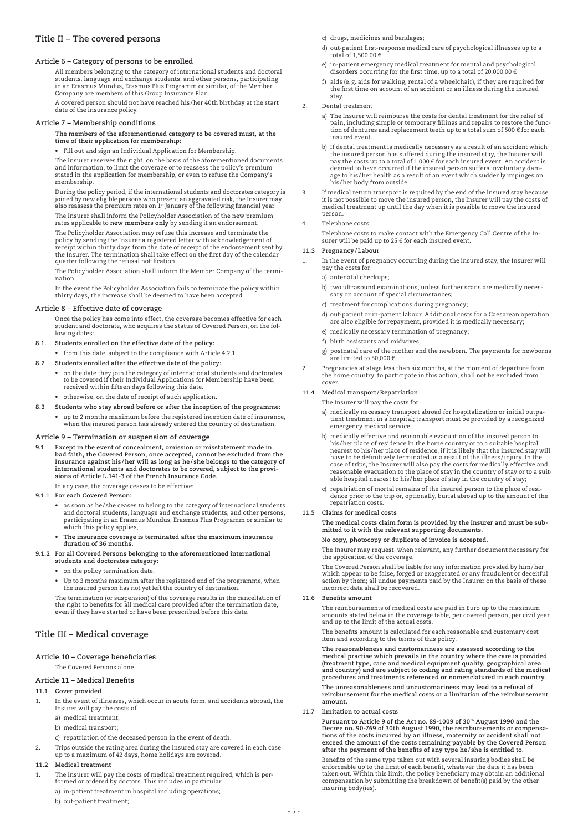# **Title Ii – The covered persons**

# **Article 6 – Category of persons to be enrolled**

 All members belonging to the category of international students and doctoral students, language and exchange students, and other persons, participating in an Erasmus Mundus, Erasmus Plus Programm or similar, of the Member Company are members of this Group Insurance Plan.

 A covered person should not have reached his/her 40th birthday at the start date of the insurance policy.

# **Article 7 – Membership conditions**

#### **The members of the aforementioned category to be covered must, at the time of their application for membership:**

 • Fill out and sign an Individual Application for Membership.

 The Insurer reserves the right, on the basis of the aforementioned documents and information, to limit the coverage or to reassess the policy's premium stated in the application for membership, or even to refuse the Company's membership.

 During the policy period, if the international students and doctorates category is joined by new eligible persons who present an aggravated risk, the Insurer may<br>also reassess the premium rates on 1st January of the following financial year.

 The Insurer shall inform the Policyholder Association of the new premium rates applicable to **new members only** by sending it an endorsement.

 The Policyholder Association may refuse this increase and terminate the policy by sending the Insurer a registered letter with acknowledgement of receipt within thirty days from the date of receipt of the endorsement sent by the Insurer. The termination shall take effect on the first day of the calendar quarter following the refusal notification.

 The Policyholder Association shall inform the Member Company of the termination.

 In the event the Policyholder Association fails to terminate the policy within thirty days, the increase shall be deemed to have been accepted

# **Article 8 – Effective date of coverage**

 Once the policy has come into effect, the coverage becomes effective for each student and doctorate, who acquires the status of Covered Person, on the following dates:

- **8.1. Students enrolled on the effective date of the policy:**
- • from this date, subject to the compliance with Article 4.2.1.
- **8.2 Students enrolled after the effective date of the policy:**
	- • on the date they join the category of international students and doctorates to be covered if their Individual Applications for Membership have been received within fifteen days following this date.
	- • otherwise, on the date of receipt of such application.
- **8.3 Students who stay abroad before or after the inception of the programme:**
	- • up to 2 months maximum before the registered inception date of insurance, when the insured person has already entered the country of destination.

# **Article 9 – Termination or suspension of coverage**

**9.1 Except in the event of concealment, omission or misstatement made in bad faith, the Covered Person, once accepted, cannot be excluded from the Insurance against his /her will as long as he / she belongs to the category of international students and doctorates to be covered, subject to the provisions of Article L.141-3 of the French Insurance Code.**

In any case, the coverage ceases to be effective:

- **9.1.1 For each Covered Person:**
- • as soon as he/she ceases to belong to the category of international students and doctoral students, language and exchange students, and other persons, participating in an Erasmus Mundus, Erasmus Plus Programm or similar to which this policy applies,
	- **• The insurance coverage is terminated after the maximum insurance duration of 36 months.**

**9.1.2 For all Covered Persons belonging to the aforementioned international students and doctorates category:**

- on the policy termination date.
- Up to 3 months maximum after the registered end of the programme, when the insured person has not yet left the country of destination.

 The termination (or suspension) of the coverage results in the cancellation of the right to benefits for all medical care provided after the termination date, even if they have started or have been prescribed before this date.

# **Title III – Medical coverage**

# **Article 10 – Coverage beneficiaries**

The Covered Persons alone.

#### **Article 11 – Medical Benefits**

#### **11.1 Cover provided**

In the event of illnesses, which occur in acute form, and accidents abroad, the Insurer will pay the costs of

- a) medical treatment;
- b) medical transport;
- c) repatriation of the deceased person in the event of death.
- Trips outside the rating area during the insured stay are covered in each case up to a maximum of 42 days, home holidays are covered.
- **11.2 Medical treatment**
- 1. The Insurer will pay the costs of medical treatment required, which is per-formed or ordered by doctors. This includes in particular
	- a) in-patient treatment in hospital including operations;
	- b) out-patient treatment;
- c) drugs, medicines and bandages;
- d) out-patient first-response medical care of psychological illnesses up to a total of 1,500.00  $\epsilon$
- e) in-patient emergency medical treatment for mental and psychological disorders occurring for the first time, up to a total of 20,000.00 €
- f) aids (e.g. aids for walking, rental of a wheelchair), if they are required for the first time on account of an accident or an illness during the insured stay.
- 2. Dental treatment
	- a) The Insurer will reimburse the costs for dental treatment for the relief of pain, including simple or temporary fillings and repairs to restore the func-tion of dentures and replacement teeth up to a total sum of 500 € for each insured event.
	- b) If dental treatment is medically necessary as a result of an accident which<br>the insured person has suffered during the insured stay, the Insuer will<br>pay the costs up to a total of 1,000 € for each insured event. An acc deemed to have occurred if the insured person suffers involuntary damage to his/her health as a result of an event which suddenly impinges on his/her body from outside.
- 3. If medical return transport is required by the end of the insured stay because<br>it is not possible to move the insured person, the Insurer will pay the costs of<br>medical treatment up until the day when it is possible to m person.

#### 4. Telephone costs

Telephone costs to make contact with the Emergency Call Centre of the In-surer will be paid up to 25 € for each insured event.

#### **11.3 Pregnancy/Labour**

- 1. In the event of pregnancy occurring during the insured stay, the Insurer will pay the costs for
	- a) antenatal checkups;
	- b) two ultrasound examinations, unless further scans are medically necessary on account of special circumstances;
	- c) treatment for complications during pregnancy;
	- d) out-patient or in-patient labour. Additional costs for a Caesarean operation are also eligible for repayment, provided it is medically necessary;
	- e) medically necessary termination of pregnancy;
	- f) birth assistants and midwives;
	- g) postnatal care of the mother and the newborn. The payments for newborns are limited to 50,000 €.
- Pregnancies at stage less than six months, at the moment of departure from the home country, to participate in this action, shall not be excluded from cover.

# **11.4 Medical transport/Repatriation**

The Insurer will pay the costs for

- a) medically necessary transport abroad for hospitalization or initial outpatient treatment in a hospital; transport must be provided by a recognized emergency medical service;
- b) medically effective and reasonable evacuation of the insured person to his/her place of residence in the home country or to a suitable hospital nearest to his/her place of residence, if it is likely that the insured stay will have to be definitively terminated as a result of the illness/injury. In the case of trips, the Insurer will also pay the costs for medically effective and reasonable evacuation to the place of stay in the country of stay or to a suit-able hospital nearest to his/her place of stay in the country of stay;
- c) repatriation of mortal remains of the insured person to the place of resi-dence prior to the trip or, optionally, burial abroad up to the amount of the repatriation costs.

# **11.5 Claims for medical costs**

 **The medical costs claim form is provided by the Insurer and must be submitted to it with the relevant supporting documents.**

**No copy, photocopy or duplicate of invoice is accepted.** 

The Insurer may request, when relevant, any further document necessary for the application of the coverage.

 The Covered Person shall be liable for any information provided by him/her which appear to be false, forged or exaggerated or any fraudulent or deceitful action by them; all undue payments paid by the Insurer on the basis of these incorrect data shall be recovered.

#### **11.6 Benefits amount**

 The reimbursements of medical costs are paid in Euro up to the maximum amounts stated below in the coverage table, per covered person, per civil year and up to the limit of the actual costs.

 The benefits amount is calculated for each reasonable and customary cost item and according to the terms of this policy.

 **The reasonableness and customariness are assessed according to the medical practise which prevails in the country where the care is provided**  (treatment type, care and medical equipment quality, geographical area<br>and country) and are subject to coding and rating standards of the medical<br>procedures and treatments referenced or nomenclatured in each country.

 **The unreasonableness and uncustomariness may lead to a refusal of reimbursement for the medical costs or a limitation of the reimbursement amount.** 

**11.7 limitation to actual costs**

 **Pursuant to Article 9 of the Act no. 89-1009 of 30th August 1990 and the Decree no. 90-769 of 30th August 1990, the reimbursements or compensations of the costs incurred by an illness, maternity or accident shall not exceed the amount of the costs remaining payable by the Covered Person after the payment of the benefits of any type he / she is entitled to.**

 Benefits of the same type taken out with several insuring bodies shall be enforceable up to the limit of each benefit, whatever the date it has been taken out. Within this limit, the policy beneficiary may obtain an additional compensation by submitting the breakdown of benefit(s) paid by the other insuring body(ies).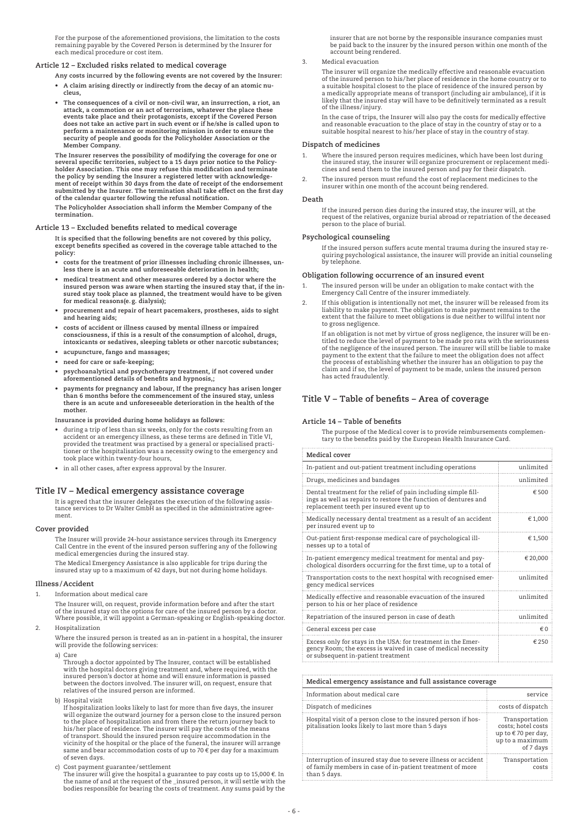For the purpose of the aforementioned provisions, the limitation to the costs remaining payable by the Covered Person is determined by the Insurer for each medical procedure or cost item.

# **Article 12 – Excluded risks related to medical coverage**

- **Any costs incurred by the following events are not covered by the Insurer:**
- **• A claim arising directly or indirectly from the decay of an atomic nucleus,**
- **• The consequences of a civil or non-civil war, an insurrection, a riot, an** attack, a commotion or an act of terrorism, whatever the place these<br>events take place and their protagonists, except if the Covered Person<br>does not take an active part in such event or if he/she is called upon to **perform a maintenance or monitoring mission in order to ensure the security of people and goods for the Policyholder Association or the Member Company.**

 **The Insurer reserves the possibility of modifying the coverage for one or several specific territories, subject to a 15 days prior notice to the Policy-holder Association. This one may refuse this modification and terminate the policy by sending the Insurer a registered letter with acknowledge-ment of receipt within 30 days from the date of receipt of the endorsement submitted by the Insurer. The termination shall take effect on the first day of the calendar quarter following the refusal notification.**

**The Policyholder Association shall inform the Member Company of the termination.**

#### **Article 13 – Excluded benefits related to medical coverage**

 **It is specified that the following benefits are not covered by this policy, except benefits specified as covered in the coverage table attached to the policy:**

- costs for the treatment of prior illnesses including chronic illnesses, un-<br>less there is an acute and unforeseeable deterioration in health;
	- **• medical treatment and other measures ordered by a doctor where the insured person was aware when starting the insured stay that, if the insured stay took place as planned, the treatment would have to be given for medical reasons(e. g. dialysis);**
	- **• procurement and repair of heart pacemakers, prostheses, aids to sight and hearing aids;**
- costs of accident or illness caused by mental illness or impaired<br>consciousness, if this is a result of the consumption of alcohol, drugs, **intoxicants or sedatives, sleeping tablets or other narcotic substances;**
	- **• acupuncture, fango and massages;**
	- **• need for care or safe-keeping;**
	- **• psychoanalytical and psychotherapy treatment, if not covered under aforementioned details of benefits and hypnosis,;**
	- **• payments for pregnancy and labour, If the pregnancy has arisen longer than 6 months before the commencement of the insured stay, unless there is an acute and unforeseeable deterioration in the health of the mother.**

 **Insurance is provided during home holidays as follows:**

- during a trip of less than six weeks, only for the costs resulting from an accident or an emergency illness, as these terms are defined in Title VI, provided the treatment was practised by a general or specialised practi-tioner or the hospitalisation was a necessity owing to the emergency and took place within twenty-four hours,
- • in all other cases, after express approval by the Insurer.

# **Title IV – Medical emergency assistance coverage**

 It is agreed that the insurer delegates the execution of the following assistance services to Dr Walter GmbH as specified in the administrative agreement.

#### **Cover provided**

 The Insurer will provide 24-hour assistance services through its Emergency Call Centre in the event of the insured person suffering any of the following medical emergencies during the insured stay.

 The Medical Emergency Assistance is also applicable for trips during the insured stay up to a maximum of 42 days, but not during home holidays.

# **Illness /Accident**

1. Information about medical care

 The Insurer will, on request, provide information before and after the start of the insured stay on the options for care of the insured person by a doctor. Where possible, it will appoint a German-speaking or English-speaking doctor.

2. Hospitalization

 Where the insured person is treated as an in-patient in a hospital, the insurer will provide the following services:

a) Care

Through a doctor appointed by The Insurer, contact will be established with the hospital doctors giving treatment and, where required, with the insured person's doctor at home and will ensure information is passed between the doctors involved. The insurer will, on request, ensure that relatives of the insured person are informed.

b) Hospital visit

If hospitalization looks likely to last for more than five days, the insurer will organize the outward journey for a person close to the insured person<br>to the place of hospitalization and from there the return journey back to<br>his/her place of residence. The insurer will pay the costs of the means of transport. Should the insured person require accommodation in the vicinity of the hospital or the place of the funeral, the insurer will arrange same and bear accommodation costs of up to  $70 \text{ }\epsilon$  per day for a maximum of seven days.

c) Cost payment guarantee/settlement<br>The insurer will give the hospital a guarantee to pay costs up to 15,000 €. In<br>the name of and at the request of the \_insured person, it will settle with the bodies responsible for bearing the costs of treatment. Any sums paid by the

insurer that are not borne by the responsible insurance companies must be paid back to the insurer by the insured person within one month of the account being rendered.

3. Medical evacuation

 The insurer will organize the medically effective and reasonable evacuation of the insured person to his/her place of residence in the home country or to a suitable hospital closest to the place of residence of the insured person by a medically appropriate means of transport (including air ambulance), if it is likely that the insured stay will have to be definitively terminated as a result of the illness/injury.

 In the case of trips, the Insurer will also pay the costs for medically effective and reasonable evacuation to the place of stay in the country of stay or to a suitable hospital nearest to his/her place of stay in the country of stay.

# **Dispatch of medicines**

- 1. Where the insured person requires medicines, which have been lost during the insured stay, the insurer will organize procurement or replacement medi-cines and send them to the insured person and pay for their dispatch.
- 2. The insured person must refund the cost of replacement medicines to the insurer within one month of the account being rendered.

#### **Death**

 If the insured person dies during the insured stay, the insurer will, at the request of the relatives, organize burial abroad or repatriation of the deceased person to the place of burial.

#### **Psychological counseling**

If the insured person suffers acute mental trauma during the insured stay re-quiring psychological assistance, the insurer will provide an initial counseling by telephone.

# **Obligation following occurrence of an insured event**

- 1. The insured person will be under an obligation to make contact with the Emergency Call Centre of the insurer immediately.
- If this obligation is intentionally not met, the insurer will be released from its liability to make payment. The obligation to make payment remains to the extent that the failure to meet obligations is due neither to willful intent nor to gross negligence.

 If an obligation is not met by virtue of gross negligence, the insurer will be en-titled to reduce the level of payment to be made pro rata with the seriousness of the negligence of the insured person. The insurer will still be liable to make payment to the extent that the failure to meet the obligation does not affect the process of establishing whether the insurer has an obligation to pay the claim and if so, the level of payment to be made, unless the insured person has acted fraudulently.

# **Title V – Table of benefits – Area of coverage**

#### **Article 14 – Table of benefits**

 The purpose of the Medical cover is to provide reimbursements complementary to the benefits paid by the European Health Insurance Card.

| Medical cover                                                                                                                                                                  |            |  |  |
|--------------------------------------------------------------------------------------------------------------------------------------------------------------------------------|------------|--|--|
| In-patient and out-patient treatment including operations                                                                                                                      | unlimited  |  |  |
| Drugs, medicines and bandages                                                                                                                                                  | unlimited  |  |  |
| Dental treatment for the relief of pain including simple fill-<br>ings as well as repairs to restore the function of dentures and<br>replacement teeth per insured event up to | € 500      |  |  |
| Medically necessary dental treatment as a result of an accident<br>per insured event up to                                                                                     | €1,000     |  |  |
| Out-patient first-response medical care of psychological ill-<br>nesses up to a total of                                                                                       | €1,500     |  |  |
| In-patient emergency medical treatment for mental and psy-<br>chological disorders occurring for the first time, up to a total of                                              | € 20,000   |  |  |
| Transportation costs to the next hospital with recognised emer-<br>gency medical services                                                                                      | unlimited  |  |  |
| Medically effective and reasonable evacuation of the insured<br>person to his or her place of residence                                                                        | unlimited  |  |  |
| Repatriation of the insured person in case of death                                                                                                                            | unlimited  |  |  |
| General excess per case                                                                                                                                                        | $\notin$ 0 |  |  |
| Excess only for stays in the USA: for treatment in the Emer-<br>gency Room; the excess is waived in case of medical necessity<br>or subsequent in-patient treatment            | €250       |  |  |

| Medical emergency assistance and full assistance coverage                                                                                   |                                                                                            |  |
|---------------------------------------------------------------------------------------------------------------------------------------------|--------------------------------------------------------------------------------------------|--|
| Information about medical care                                                                                                              | service                                                                                    |  |
| Dispatch of medicines                                                                                                                       | costs of dispatch                                                                          |  |
| Hospital visit of a person close to the insured person if hos-<br>pitalisation looks likely to last more than 5 days                        | Transportation<br>costs: hotel costs<br>up to €70 per day,<br>up to a maximum<br>of 7 days |  |
| Interruption of insured stay due to severe illness or accident<br>of family members in case of in-patient treatment of more<br>than 5 days. | Transportation<br>costs                                                                    |  |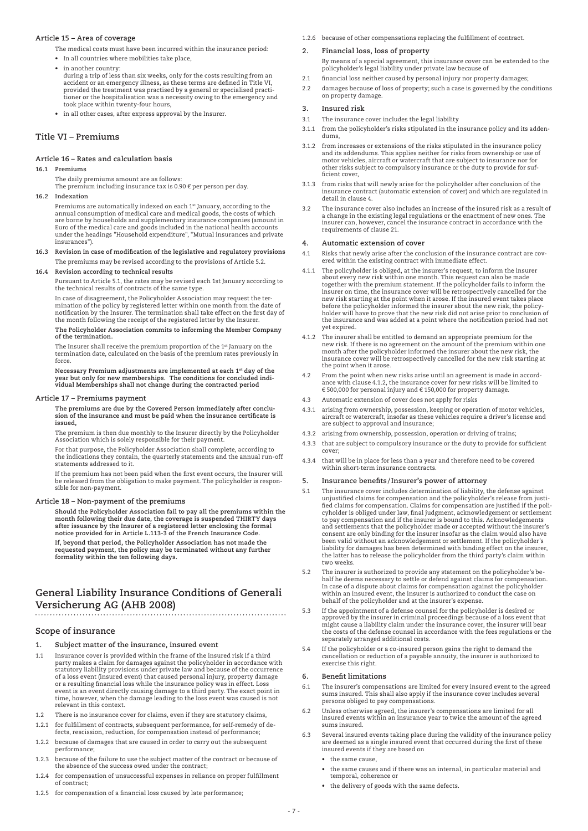# **Article 15 – Area of coverage**

- The medical costs must have been incurred within the insurance period:
- • In all countries where mobilities take place,
- • in another country: during a trip of less than six weeks, only for the costs resulting from an accident or an emergency illness, as these terms are defined in Title VI, provided the treatment was practised by a general or specialised practi-tioner or the hospitalisation was a necessity owing to the emergency and took place within twenty-four hours,
	- • in all other cases, after express approval by the Insurer.

# **Title Vi – Premiums**

# **Article 16 – Rates and calculation basis**

# **16.1 Premiums**

 The daily premiums amount are as follows: The premium including insurance tax is 0.90  $\epsilon$  per person per day.

#### **16.2 Indexation**

 Premiums are automatically indexed on each 1st January, according to the annual consumption of medical care and medical goods, the costs of which are borne by households and supplementary insurance companies (amount in<br>Euro of the medical care and goods included in the national health accounts<br>under the headings "Household expenditure", "Mutual insurances and privat insurances").

**16.3 Revision in case of modification of the legislative and regulatory provisions** The premiums may be revised according to the provisions of Article 5.2.

#### **16.4 Revision according to technical results**

 Pursuant to Article 5.1, the rates may be revised each 1st January according to the technical results of contracts of the same type.

 In case of disagreement, the Policyholder Association may request the termination of the policy by registered letter within one month from the date of notification by the Insurer. The termination shall take effect on the first day of the month following the receipt of the registered letter by the Insurer. **The Policyholder Association commits to informing the Member Company of the termination.**

The Insurer shall receive the premium proportion of the 1<sup>st</sup> January on the termination date, calculated on the basis of the premium rates previously in force.

 **Necessary Premium adjustments are implemented at each 1st day of the year but only for new memberships. The conditions for concluded indi-vidual Memberships shall not change during the contracted period**

#### **Article 17 – Premiums payment**

 **The premiums are due by the Covered Person immediately after conclusion of the insurance and must be paid when the insurance certificate is issued,** 

The premium is then due monthly to the Insurer directly by the Policyholder Association which is solely responsible for their payment.

 For that purpose, the Policyholder Association shall complete, according to the indications they contain, the quarterly statements and the annual run-off statements addressed to it.

 If the premium has not been paid when the first event occurs, the Insurer will be released from the obligation to make payment. The policyholder is responsible for non-payment.

# **Article 18 – Non-payment of the premiums**

 **Should the Policyholder Association fail to pay all the premiums within the month following their due date, the coverage is suspended THIRTY days after issuance by the Insurer of a registered letter enclosing the formal notice provided for in Article L.113-3 of the French Insurance Code.**

 **If, beyond that period, the Policyholder Association has not made the requested payment, the policy may be terminated without any further formality within the ten following days.**

# **General Liability Insurance Conditions of Generali Versicherung AG (AHB 2008)**

# **Scope of insurance**

- **1. Subject matter of the insurance, insured event**
- 1.1 Insurance cover is provided within the frame of the insured risk if a third party makes a claim for damages against the policyholder in accordance with statutory liability provisions under private law and because of the occurrence of a loss event (insured event) that caused personal injury, property damage or a resulting financial loss while the insurance policy was in effect. Loss event is an event directly causing damage to a third party. The exact point in time, however, when the damage leading to the loss event was caused is not relevant in this context.
- 1.2 There is no insurance cover for claims, even if they are statutory claims,
- 1.2.1 for fulfillment of contracts, subsequent performance, for self-remedy of de-fects, rescission, reduction, for compensation instead of performance;
- 1.2.2 because of damages that are caused in order to carry out the subsequent performance;
- 1.2.3 because of the failure to use the subject matter of the contract or because of the absence of the success owed under the contract;
- 1.2.4 for compensation of unsuccessful expenses in reliance on proper fulfillment of contract;
- 1.2.5 for compensation of a financial loss caused by late performance;

1.2.6 because of other compensations replacing the fulfillment of contract.

#### **2. Financial loss, loss of property**

- By means of a special agreement, this insurance cover can be extended to the policyholder's legal liability under private law because of
- 2.1 financial loss neither caused by personal injury nor property damages;
- 2.2 damages because of loss of property; such a case is governed by the conditions on property damage.

# **3. Insured risk**

- 3.1 The insurance cover includes the legal liability
- 3.1.1 from the policyholder's risks stipulated in the insurance policy and its addendums,
- 3.1.2 from increases or extensions of the risks stipulated in the insurance policy and its addendums. This applies neither for risks from ownership or use of motor vehicles, aircraft or watercraft that are subject to insurance nor for other risks subject to compulsory insurance or the duty to provide for sufficient cover,
- 3.1.3 from risks that will newly arise for the policyholder after conclusion of the insurance contract (automatic extension of cover) and which are regulated in detail in clause 4.
- 3.2 The insurance cover also includes an increase of the insured risk as a result of a change in the existing legal regulations or the enactment of new ones. The in things in the theorem of the insurance contract in accordance with the requirements of clause 21.

#### **4. Automatic extension of cover**

- 4.1 Risks that newly arise after the conclusion of the insurance contract are covered within the existing contract with immediate effect.
- 4.1.1 The policyholder is obliged, at the insurer's request, to inform the insurer about every new risk within one month. This request can also be made together with the premium statement. If the policyholder fails to inform the insurer on time, the insurance cover will be retrospectively cancelled for the new risk starting at the point when it arose. If the insured event takes place before the policyholder informed the insurer about the new risk, the policy-holder will have to prove that the new risk did not arise prior to conclusion of the insurance and was added at a point where the notification period had not yet expired.
- 4.1.2 The insurer shall be entitled to demand an appropriate premium for the new risk. If there is no agreement on the amount of the premium within one month after the policyholder informed the insurer about the new risk, the insurance cover will be retrospectively cancelled for the new risk starting at the point when it arose.
- 4.2 From the point when new risks arise until an agreement is made in accordance with clause 4.1.2, the insurance cover for new risks will be limited to € 500,000 for personal injury and € 150,000 for property damage.
- 4.3 Automatic extension of cover does not apply for risks
- 4.3.1 arising from ownership, possession, keeping or operation of motor vehicles, aircraft or watercraft, insofar as these vehicles require a driver's license and are subject to approval and insurance;
- 4.3.2 arising from ownership, possession, operation or driving of trains;
- 4.3.3 that are subject to compulsory insurance or the duty to provide for sufficient cover;
- 4.3.4 that will be in place for less than a year and therefore need to be covered within short-term insurance contracts.

# **5. Insurance benefits /Insurer's power of attorney**

- 5.1 The insurance cover includes determination of liability, the defense against unjustified claims for compensation and the policyholder's release from justified claims for compensation. Claims for compensation are justified if the poli-cyholder is obliged under law, final judgment, acknowledgement or settlement to pay compensation and if the insurer is bound to this. Acknowledgements and settlements that the policyholder made or accepted without the insurer's consent are only binding for the insurer insofar as the claim would also have<br>been valid without an acknowledgement or settlement. If the policyholder's<br>liability for damages has been determined with binding effect on the the latter has to release the policyholder from the third party's claim within two weeks.
- 5.2 The insurer is authorized to provide any statement on the policyholder's be-half he deems necessary to settle or defend against claims for compensation. In case of a dispute about claims for compensation against the policyholder within an insured event, the insurer is authorized to conduct the case on behalf of the policyholder and at the insurer's expense.
- 5.3 If the appointment of a defense counsel for the policyholder is desired or approved by the insurer in criminal proceedings because of a loss event that<br>might cause a liability claim under the insurance cover, the insurer will bear<br>the costs of the defense counsel in accordance with the fees regul separately arranged additional costs.
- 5.4 If the policyholder or a co-insured person gains the right to demand the cancellation or reduction of a payable annuity, the insurer is authorized to exercise this right.

# **6. Benefit limitations**

- The insurer's compensations are limited for every insured event to the agreed sums insured. This shall also apply if the insurance cover includes several persons obliged to pay compensations.
- 6.2 Unless otherwise agreed, the insurer's compensations are limited for all insured events within an insurance year to twice the amount of the agreed sums insured.
- 6.3 Several insured events taking place during the validity of the insurance policy are deemed as a single insured event that occurred during the first of these insured events if they are based on
	- the same cause,
	- the same causes and if there was an internal, in particular material and temporal, coherence or
	- the delivery of goods with the same defects.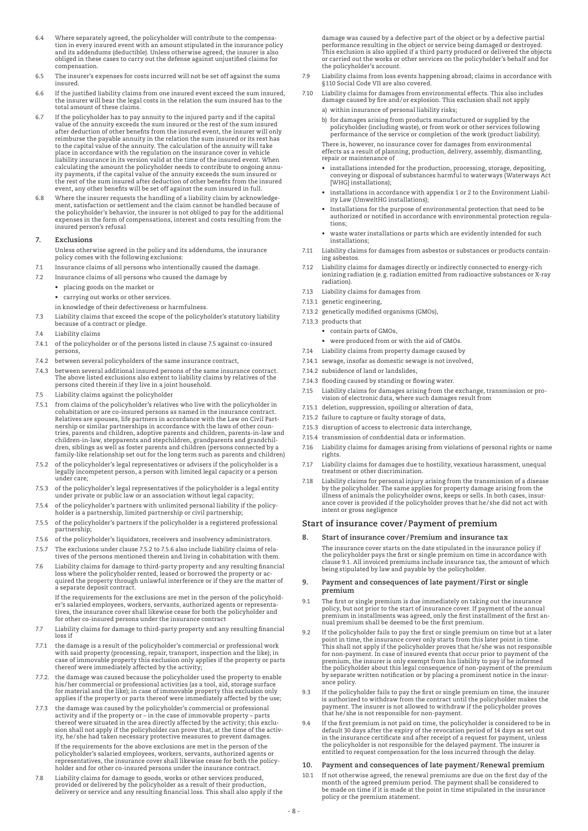- 6.4 Where separately agreed, the policyholder will contribute to the compensation in every insured event with an amount stipulated in the insurance policy and its addendums (deductible). Unless otherwise agreed, the insurer is also obliged in these cases to carry out the defense against unjustified claims for compensation.
- 6.5 The insurer's expenses for costs incurred will not be set off against the sums insured.
- 6.6 If the justified liability claims from one insured event exceed the sum insured, the insurer will bear the legal costs in the relation the sum insured has to the total amount of these claims.
- 6.7 If the policyholder has to pay annuity to the injured party and if the capital value of the annuity exceeds the sum insured or the rest of the sum insured after deduction of other benefits from the insured event, the insurer will only reimburse the payable annuity in the relation the sum insured or its rest has to the capital value of the annuity. The calculation of the annuity will take place in accordance with the regulation on the insurance cover in vehicle<br>liability insurance in its version valid at the time of the insured event. When<br>calculating the amount the policyholder needs to contribute to ongoi the rest of the sum insured after deduction of other benefits from the insured event, any other benefits will be set off against the sum insured in full.
- 6.8 Where the insurer requests the handling of a liability claim by acknowledge-ment, satisfaction or settlement and the claim cannot be handled because of the policyholder's behavior, the insurer is not obliged to pay for the additional expenses in the form of compensations, interest and costs resulting from the insured person's refusal

# **7. Exclusions**

- Unless otherwise agreed in the policy and its addendums, the insurance policy comes with the following exclusions:
- 7.1 Insurance claims of all persons who intentionally caused the damage.
- 7.2 Insurance claims of all persons who caused the damage by
	- • placing goods on the market or
	- • carrying out works or other services.
	- in knowledge of their defectiveness or harmfulness.
- 7.3 Liability claims that exceed the scope of the policyholder's statutory liability because of a contract or pledge.
- 74 Liability claims
- 7.4.1 of the policyholder or of the persons listed in clause 7.5 against co-insured persons,
- 7.4.2 between several policyholders of the same insurance contract,
- 7.4.3 between several additional insured persons of the same insurance contract. The above listed exclusions also extent to liability claims by relatives of the persons cited therein if they live in a joint household.
- 7.5 Liability claims against the policyholder
- 7.5.1 from claims of the policyholder's relatives who live with the policyholder in cohabitation or are co-insured persons as named in the insurance contract. Relatives are spouses, life partners in accordance with the Law on Civil Partnership or similar partnerships in accordance with the laws of other coun-tries, parents and children, adoptive parents and children, parents-in-law and children-in-law, stepparents and stepchildren, grandparents and grandchildren, siblings as well as foster parents and children (persons connected by a family-like relationship set out for the long term such as parents and children)
- 7.5.2 of the policyholder's legal representatives or advisers if the policyholder is a legally incompetent person, a person with limited legal capacity or a person under care;
- 7.5.3 of the policyholder's legal representatives if the policyholder is a legal entity under private or public law or an association without legal capacity;
- 7.5.4 of the policyholder's partners with unlimited personal liability if the policyholder is a partnership, limited partnership or civil partnership;
- 7.5.5 of the policyholder's partners if the policyholder is a registered professional partnership;
- 7.5.6 of the policyholder's liquidators, receivers and insolvency administrators.
- 7.5.7 The exclusions under clause 7.5.2 to 7.5.6 also include liability claims of relathe chemisters and the change that is the disc include internsy claims of the persons mentioned therein and living in cohabitation with them.
- 7.6 Liability claims for damage to third-party property and any resulting financial loss where the policyholder rented, leased or borrowed the property or acquired the property through unlawful interference or if they are the matter of a separate deposit contract.

 If the requirements for the exclusions are met in the person of the policyholder's salaried employees, workers, servants, authorized agents or representa-tives, the insurance cover shall likewise cease for both the policyholder and for other co-insured persons under the insurance contract

- 7.7 Liability claims for damage to third-party property and any resulting financial loss if
- 7.7.1 the damage is a result of the policyholder's commercial or professional work with said property (processing, repair, transport, inspection and the like); in case of immovable property this exclusion only applies if the property or parts thereof were immediately affected by the activity;
- 7.7.2. the damage was caused because the policyholder used the property to enable his/her commercial or professional activities (as a tool, aid, storage surface for material and the like); in case of immovable property this exclusion only applies if the property or parts thereof were immediately affected by the use;
- 7.7.3 the damage was caused by the policyholder's commercial or professional activity and if the property or – in the case of immovable property – parts thereof were situated in the area directly affected by the activity; this exclusion shall not apply if the policyholder can prove that, at the time of the activ-ity, he/she had taken necessary protective measures to prevent damages. If the requirements for the above exclusions are met in the person of the policyholder's salaried employees, workers, servants, authorized agents or representatives, the insurance cover shall likewise cease for both the policyholder and for other co-insured persons under the insurance contract.
- 7.8 Liability claims for damage to goods, works or other services produced, provided or delivered by the policyholder as a result of their production, delivery or service and any resulting financial loss. This shall also apply if the

damage was caused by a defective part of the object or by a defective partial performance resulting in the object or service being damaged or destroyed. This exclusion is also applied if a third party produced or delivered the objects or carried out the works or other services on the policyholder's behalf and for the policyholder's account.

- 7.9 Liability claims from loss events happening abroad; claims in accordance with §110 Social Code VII are also covered.
- 7.10 Liability claims for damages from environmental effects. This also includes damage caused by fire and/or explosion. This exclusion shall not apply
	- a) within insurance of personal liability risks;
	- b) for damages arising from products manufactured or supplied by the policyholder (including waste), or from work or other services following performance of the service or completion of the work (product liability).

 There is, however, no insurance cover for damages from environmental effects as a result of planning, production, delivery, assembly, dismantling, repair or maintenance of

- installations intended for the production, processing, storage, depositing, conveying or disposal of substances harmful to waterways (Waterways Act [WHG] installations);
- installations in accordance with appendix 1 or 2 to the Environment Liability Law (UmweltHG installations);
- Installations for the purpose of environmental protection that need to be authorized or notified in accordance with environmental protection regulations;
	- waste water installations or parts which are evidently intended for such installations;
- 7.11 Liability claims for damages from asbestos or substances or products contain-ing asbestos.
- 7.12 Liability claims for damages directly or indirectly connected to energy-rich ionizing radiation (e.g. radiation emitted from radioactive substances or X-ray radiation).
- 7.13 Liability claims for damages from
- 7.13.1 genetic engineering,
- 7.13.2 genetically modified organisms (GMOs),
- 7.13.3 products that
	- contain parts of GMOs,
	- were produced from or with the aid of GMOs.
- 7.14 Liability claims from property damage caused by
- 7.14.1 sewage, insofar as domestic sewage is not involved,
- 7.14.2 subsidence of land or landslides,
- 7.14.3 flooding caused by standing or flowing water.
- 7.15 Liability claims for damages arising from the exchange, transmission or provision of electronic data, where such damages result from
- 7.15.1 deletion, suppression, spoiling or alteration of data,
- 7.15.2 failure to capture or faulty storage of data,
- 7.15.3 disruption of access to electronic data interchange,
- 7.15.4 transmission of confidential data or information.
- 7.16 Liability claims for damages arising from violations of personal rights or name rights.
- 7.17 Liability claims for damages due to hostility, vexatious harassment, unequal treatment or other discrimination.
- 7.18 Liability claims for personal injury arising from the transmission of a disease by the policyholder. The same applies for property damage arising from the<br>illness of animals the policyholder owns, keeps or sells. In both cases, insur-<br>ance cover is provided if the policyholder proves that he/she did n intent or gross negligence

# **Start of insurance cover /Payment of premium**

**8. Start of insurance cover /Premium and insurance tax**

 The insurance cover starts on the date stipulated in the insurance policy if the policyholder pays the first or single premium on time in accordance with<br>clause 9.1. All invoiced premiums include insurance tax, the amount of which<br>being stipulated by law and payable by the policyholder.

- **9. Payment and consequences of late payment/First or single premium**
- 9.1 The first or single premium is due immediately on taking out the insurance policy, but not prior to the start of insurance cover. If payment of the annual premium in installments was agreed, only the first installment of the first an-nual premium shall be deemed to be the first premium.
- 9.2 If the policyholder fails to pay the first or single premium on time but at a later<br>point in time, the insurance cover only starts from this later point in time.<br>This shall not apply if the policyholder proves that he/ by separate written notification or by placing a prominent notice in the insurance policy.
- 9.3 If the policyholder fails to pay the first or single premium on time, the insurer is authorized to withdraw from the contract until the policyholder makes the payment. The insurer is not allowed to withdraw if the policyholder proves that he/she is not responsible for non-payment.
- 9.4 If the first premium is not paid on time, the policyholder is considered to be in default 30 days after the expiry of the revocation period of 14 days as set out in the insurance certificate and after receipt of a request for payment, unless the policyholder is not responsible for the delayed payment. The insurer is entitled to request compensation for the loss incurred through the delay.

#### **10. Payment and consequences of late payment/Renewal premium**

If not otherwise agreed, the renewal premiums are due on the first day of the month of the agreed premium period. The payment shall be considered to be made on time if it is made at the point in time stipulated in the insurance policy or the premium statement.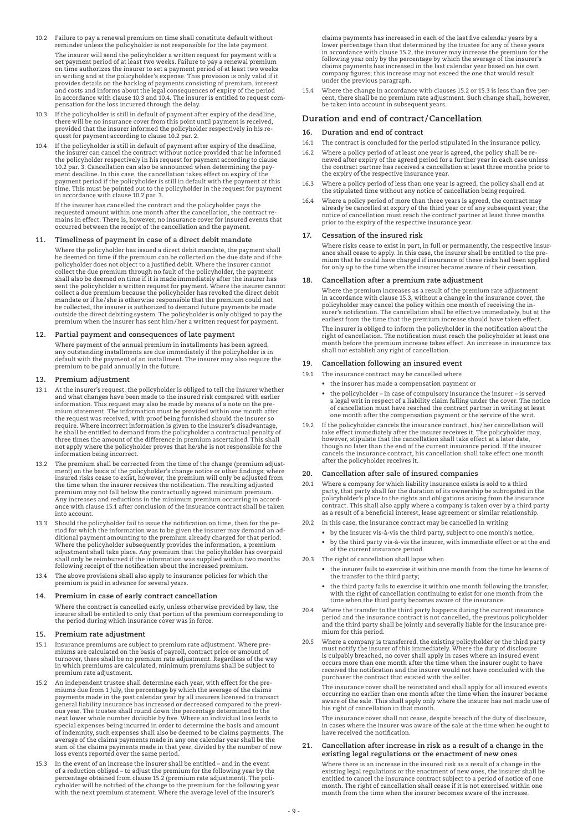- 10.2 Failure to pay a renewal premium on time shall constitute default without reminder unless the policyholder is not responsible for the late payment. The insurer will send the policyholder a written request for payment with a set payment period of at least two weeks. Failure to pay a renewal premium on time authorizes the insurer to set a payment period of at least two weeks in writing and at the policyholder's expense. This provision is only valid if it<br>provides details on the backlog of payments consisting of premium, interest<br>and costs and informs about the legal consequences of expiry of t pensation for the loss incurred through the delay.
- 10.3 If the policyholder is still in default of payment after expiry of the deadline, there will be no insurance cover from this point until payment is received, provided that the insurer informed the policyholder respectively in his re-quest for payment according to clause 10.2 par. 2.
- 10.4 If the policyholder is still in default of payment after expiry of the deadline, the insurer can cancel the contract without notice provided that he informed the policyholder respectively in his request for payment according to clause<br>10.2 par. 3. Cancellation can also be announced when determining the pay-<br>ment deadline. In this case, the cancellation takes effect on expiry of payment period if the policyholder is still in default with the payment at this time. This must be pointed out to the policyholder in the request for payment in accordance with clause 10.2 par. 3.

 If the insurer has cancelled the contract and the policyholder pays the requested amount within one month after the cancellation, the contract remains in effect. There is, however, no insurance cover for insured events that occurred between the receipt of the cancellation and the payment.

#### **11. Timeliness of payment in case of a direct debit mandate**

 Where the policyholder has issued a direct debit mandate, the payment shall be deemed on time if the premium can be collected on the due date and if the policyholder does not object to a justified debit. Where the insurer cannot collect the due premium through no fault of the policyholder, the payment shall also be deemed on time if it is made immediately after the insurer has sent the policyholder a written request for payment. Where the insurer cannot collect a due premium because the policyholder has revoked the direct debit mandate or if he/she is otherwise responsible that the premium could not be collected, the insurer is authorized to demand future payments be made outside the direct debiting system. The policyholder is only obliged to pay the premium when the insurer has sent him/her a written request for payment.

#### **12. Partial payment and consequences of late payment**

 Where payment of the annual premium in installments has been agreed, any outstanding installments are due immediately if the policyholder is in default with the payment of an installment. The insurer may also require the premium to be paid annually in the future.

# **13. Premium adjustment**

- 13.1 At the insurer's request, the policyholder is obliged to tell the insurer whether and what changes have been made to the insured risk compared with earlier information. This request may also be made by means of a note on the premium statement. The information must be provided within one month after the request was received, with proof being furnished should the insurer so require. Where incorrect information is given to the insurer's disadvantage,<br>he shall be entitled to demand from the policyholder a contractual penalty of<br>three times the amount of the difference in premium ascertained. Th not apply where the policyholder proves that he/she is not responsible for the information being incorrect.
- 13.2 The premium shall be corrected from the time of the change (premium adjust-ment) on the basis of the policyholder's change notice or other findings; where insured risks cease to exist, however, the premium will only be adjusted from the time when the insurer receives the notification. The resulting adjusted premium may not fall below the contractually agreed minimum premium.<br>Any increases and reductions in the minimum premium occurring in accord-<br>ance with clause 15.1 after conclusion of the insurance contract shall be taken into account.
- 13.3 Should the policyholder fail to issue the notification on time, then for the period for which the information was to be given the insurer may demand an additional payment amounting to the premium already charged for that period.<br>Where the policyholder subsequently provides the information, a premium<br> following receipt of the notification about the increased premium.
- 13.4 The above provisions shall also apply to insurance policies for which the premium is paid in advance for several years.

#### **14. Premium in case of early contract cancellation**

 Where the contract is cancelled early, unless otherwise provided by law, the insurer shall be entitled to only that portion of the premium corresponding to the period during which insurance cover was in force.

#### **15. Premium rate adjustment**

- 15.1 Insurance premiums are subject to premium rate adjustment. Where premiums are calculated on the basis of payroll, contract price or amount of turnover, there shall be no premium rate adjustment. Regardless of the way in which premiums are calculated, minimum premiums shall be subject to premium rate adjustment.
- 15.2 An independent trustee shall determine each year, with effect for the pre-miums due from 1 July, the percentage by which the average of the claims payments made in the past calendar year by all insurers licensed to transact general liability insurance has increased or decreased compared to the previous year. The trustee shall round down the percentage determined to the<br>next lower whole number divisible by five. Where an individual loss leads of indemnity, such expenses shall also be deemed to be claims payments. The average of the claims payments made in any one calendar year shall be the sum of the claims payments made in that year, divided by the number of new loss events reported over the same period.
- 15.3 In the event of an increase the insurer shall be entitled and in the event of a reduction obliged – to adjust the premium for the following year by the percentage obtained from clause 15.2 (premium rate adjustment). The policyholder will be notified of the change to the premium for the following year with the next premium statement. Where the average level of the insurer's

claims payments has increased in each of the last five calendar years by a lower percentage than that determined by the trustee for any of these years in accordance with clause 15.2, the insurer may increase the premium for the following year only by the percentage by which the average of the insurer's claims payments has increased in the last calendar year based on his own company figures; this increase may not exceed the one that would result under the previous paragraph.

15.4 Where the change in accordance with clauses 15.2 or 15.3 is less than five percent, there shall be no premium rate adjustment. Such change shall, however, be taken into account in subsequent years.

## **Duration and end of contract/Cancellation**

- **16. Duration and end of contract**
- 16.1 The contract is concluded for the period stipulated in the insurance policy.
- 16.2 Where a policy period of at least one year is agreed, the policy shall be renewed after expiry of the agreed period for a further year in each case unless the contract partner has received a cancellation at least three months prior to the expiry of the respective insurance year.
- 16.3 Where a policy period of less than one year is agreed, the policy shall end at the stipulated time without any notice of cancellation being required.
- 16.4 Where a policy period of more than three years is agreed, the contract may already be cancelled at expiry of the third year or of any subsequent year; the notice of cancellation must reach the contract partner at least three months prior to the expiry of the respective insurance year.

#### **17. Cessation of the insured risk**

 Where risks cease to exist in part, in full or permanently, the respective insurance shall cease to apply. In this case, the insurer shall be entitled to the pre-mium that he could have charged if insurance of these risks had been applied for only up to the time when the insurer became aware of their cessation.

#### **18. Cancellation after a premium rate adjustment**

 Where the premium increases as a result of the premium rate adjustment in accordance with clause 15.3, without a change in the insurance cover, the policyholder may cancel the policy within one month of receiving the insurer's notification. The cancellation shall be effective immediately, but at the earliest from the time that the premium increase should have taken effect.

 The insurer is obliged to inform the policyholder in the notification about the right of cancellation. The notification must reach the policyholder at least one month before the premium increase takes effect. An increase in insurance tax shall not establish any right of cancellation.

#### **19. Cancellation following an insured event**

- 19.1 The insurance contract may be cancelled where
	- • the insurer has made a compensation payment or
	- • the policyholder in case of compulsory insurance the insurer is served a legal writ in respect of a liability claim falling under the cover. The notice of cancellation must have reached the contract partner in writing at least one month after the compensation payment or the service of the writ.
- 19.2 If the policyholder cancels the insurance contract, his/her cancellation will take effect immediately after the insurer receives it. The policyholder may, however, stipulate that the cancellation shall take effect at a later date, though no later than the end of the current insurance period. If the insurer cancels the insurance contract, his cancellation shall take effect one month after the policyholder receives it.

#### **20. Cancellation after sale of insured companies**

- 20.1 Where a company for which liability insurance exists is sold to a third party, that party shall for the duration of its ownership be subrogated in the policyholder's place to the rights and obligations arising from the insurance contract. This shall also apply where a company is taken over by a third party as a result of a beneficial interest, lease agreement or similar relationship.
- 20.2 In this case, the insurance contract may be cancelled in writing
	- • by the insurer vis-à-vis the third party, subject to one month's notice,
	- by the third party vis-à-vis the insurer, with immediate effect or at the end of the current insurance period.
- 20.3 The right of cancellation shall lapse when
	- • the insurer fails to exercise it within one month from the time he learns of the transfer to the third party;
	- • the third party fails to exercise it within one month following the transfer, with the right of cancellation continuing to exist for one month from the time when the third party becomes aware of the insurance.
- 20.4 Where the transfer to the third party happens during the current insurance period and the insurance contract is not cancelled, the previous policyholder and the third party shall be jointly and severally liable for the insurance premium for this period.
- 20.5 Where a company is transferred, the existing policyholder or the third party<br>must notify the insurer of this immediately. Where the duty of disclosure<br>is culpably breached, no cover shall apply in cases where an insur occurs more than one month after the time when the insurer ought to have received the notification and the insurer would not have concluded with the purchaser the contract that existed with the seller.

 The insurance cover shall be reinstated and shall apply for all insured events occurring no earlier than one month after the time when the insurer became aware of the sale. This shall apply only where the insurer has not made use of his right of cancellation in that month.

 The insurance cover shall not cease, despite breach of the duty of disclosure, in cases where the insurer was aware of the sale at the time when he ought to have received the notification.

**21. Cancellation after increase in risk as a result of a change in the existing legal regulations or the enactment of new ones**

 Where there is an increase in the insured risk as a result of a change in the existing legal regulations or the enactment of new ones, the insurer shall be entitled to cancel the insurance contract subject to a period of notice of one month. The right of cancellation shall cease if it is not exercised within one month from the time when the insurer becomes aware of the increase.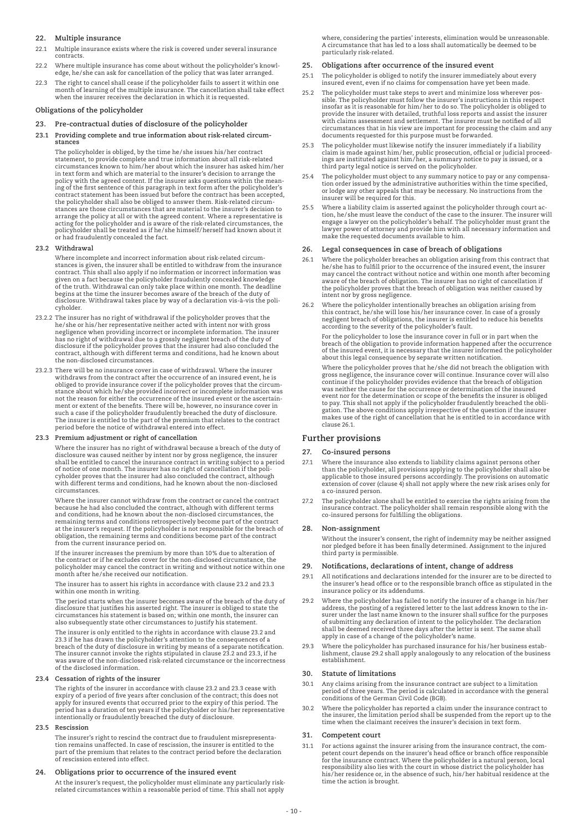# **22. Multiple insurance**

- 22.1 Multiple insurance exists where the risk is covered under several insurance contracts.
- 22.2 Where multiple insurance has come about without the policyholder's knowledge, he/she can ask for cancellation of the policy that was later arranged.
- 22.3 The right to cancel shall cease if the policyholder fails to assert it within one month of learning of the multiple insurance. The cancellation shall take effect when the insurer receives the declaration in which it is requested.

### **Obligations of the policyholder**

# **23. Pre-contractual duties of disclosure of the policyholder**

**23.1 Providing complete and true information about risk-related circumstances**

 The policyholder is obliged, by the time he/she issues his/her contract statement, to provide complete and true information about all risk-related circumstances known to him/her about which the insurer has asked him/her in text form and which are material to the insurer's decision to arrange the policy with the agreed content. If the insurer asks questions within the meaning of the first sentence of this paragraph in text form after the policyholder's contract statement has been issued but before the contract has been accepted, the policyholder shall also be obliged to answer them. Risk-related circumstances are those circumstances that are material to the insurer's decision to arrange the policy at all or with the agreed content. Where a representative is acting for the policyholder and is aware of the risk-related circumstances, the policyholder shall be treated as if he/she himself/herself had known about it or had fraudulently concealed the fact.

#### **23.2 Withdrawal**

 Where incomplete and incorrect information about risk-related circumstances is given, the insurer shall be entitled to withdraw from the insurance contract. This shall also apply if no information or incorrect information was<br>given on a fact because the policyholder fraudulently concealed knowledge<br>of the truth. Withdrawal can only take place within one month. The de disclosure. Withdrawal takes place by way of a declaration vis-à-vis the policyholder.

- 23.2.2 The insurer has no right of withdrawal if the policyholder proves that the he/she or his/her representative neither acted with intent nor with gross negligence when providing incorrect or incomplete information. The insurer<br>has no right of withdrawal due to a grossly negligent breach of the duty of<br>disclosure if the policyholder proves that the insurer had also conclud the non-disclosed circumstances.
- 23.2.3 There will be no insurance cover in case of withdrawal. Where the insurer withdraws from the contract after the occurrence of an insured event, he is obliged to provide insurance cover if the policyholder proves that the circumstance about which he/she provided incorrect or incomplete information was not the reason for either the occurrence of the insured event or the ascertainment or extent of the benefits. There will be, however, no insurance cover in such a case if the policyholder fraudulently breached the duty of disclosure. The insurer is entitled to the part of the premium that relates to the contract period before the notice of withdrawal entered into effect.

#### **23.3 Premium adjustment or right of cancellation**

 Where the insurer has no right of withdrawal because a breach of the duty of disclosure was caused neither by intent nor by gross negligence, the insurer shall be entitled to cancel the insurance contract in writing subject to a period of notice of one month. The insurer has no right of cancellation if the poli-cyholder proves that the insurer had also concluded the contract, although with different terms and conditions, had he known about the non-disclosed circumstances.

 Where the insurer cannot withdraw from the contract or cancel the contract because he had also concluded the contract, although with different terms and conditions, had he known about the non-disclosed circumstances, the<br>remaining terms and conditions retrospectively become part of the contract<br>at the insurer's request. If the policyholder is not responsible for the br from the current insurance period on.

 If the insurer increases the premium by more than 10% due to alteration of the contract or if he excludes cover for the non-disclosed circumstance, the policyholder may cancel the contract in writing and without notice within one month after he/she received our notification.

 The insurer has to assert his rights in accordance with clause 23.2 and 23.3 within one month in writing.

 The period starts when the insurer becomes aware of the breach of the duty of disclosure that justifies his asserted right. The insurer is obliged to state the circumstances his statement is based on; within one month, the insurer can also subsequently state other circumstances to justify his statement.

The insurer is only entitled to the rights in accordance with clause 23.2 and<br>23.3 if he has drawn the policyholder's attention to the consequences of a<br>breach of the duty of disclosure in writing by means of a separate no was aware of the non-disclosed risk-related circumstance or the incorrectness of the disclosed information.

## **23.4 Cessation of rights of the insurer**

 The rights of the insurer in accordance with clause 23.2 and 23.3 cease with expiry of a period of five years after conclusion of the contract; this does not apply for insured events that occurred prior to the expiry of this period. The<br>period has a duration of ten years if the policyholder or his/her representative<br>intentionally or fraudulently breached the duty of disclosure.

#### **23.5 Rescission**

 The insurer's right to rescind the contract due to fraudulent misrepresentation remains unaffected. In case of rescission, the insurer is entitled to the part of the premium that relates to the contract period before the declaration of rescission entered into effect.

#### **24. Obligations prior to occurrence of the insured event**

At the insurer's request, the policyholder must eliminate any particularly risk-related circumstances within a reasonable period of time. This shall not apply

where, considering the parties' interests, elimination would be unreasonable. A circumstance that has led to a loss shall automatically be deemed to be particularly risk-related.

#### **25. Obligations after occurrence of the insured event**

- 25.1 The policyholder is obliged to notify the insurer immediately about every insured event, even if no claims for compensation have yet been made.
- 25.2 The policyholder must take steps to avert and minimize loss wherever possible. The policyholder must follow the insurer's instructions in this respect insofar as it is reasonable for him/her to do so. The policyholder is obliged to provide the insurer with detailed, truthful loss reports and assist the insurer with claims assessment and settlement. The insurer must be notified of all circumstances that in his view are important for processing the claim and any documents requested for this purpose must be forwarded.
- 25.3 The policyholder must likewise notify the insurer immediately if a liability claim is made against him/her, public prosecution, official or judicial proceed-<br>ings are instituted against him/her, a summary notice to pay is issued, or a<br>third party legal notice is served on the policyholder.
- 25.4 The policyholder must object to any summary notice to pay or any compensa-tion order issued by the administrative authorities within the time specified, or lodge any other appeals that may be necessary. No instructions from the insurer will be required for this.
- Where a liability claim is asserted against the policyholder through court action, he/she must leave the conduct of the case to the insurer. The insurer will<br>engage a lawyer on the policyholder's behalf. The policyholder must grant the<br>lawyer power of attorney and provide him with all necessary inf make the requested documents available to him.

#### **26. Legal consequences in case of breach of obligations**

- Where the policyholder breaches an obligation arising from this contract that he/she has to fulfill prior to the occurrence of the insured event, the insurer may cancel the contract without notice and within one month after becoming aware of the breach of obligation. The insurer has no right of cancellation if the policyholder proves that the breach of obligation was neither caused by intent nor by gross negligence.
- 26.2 Where the policyholder intentionally breaches an obligation arising from this contract, he/she will lose his/her insurance cover. In case of a grossly negligent breach of obligations, the insurer is entitled to reduce his benefits according to the severity of the policyholder's fault.

 For the policyholder to lose the insurance cover in full or in part when the breach of the obligation to provide information happened after the occurrence of the insured event, it is necessary that the insurer informed the policyholder about this legal consequence by separate written notification.

 Where the policyholder proves that he/she did not breach the obligation with gross negligence, the insurance cover will continue. Insurance cover will also continue if the policyholder provides evidence that the breach of obligation was neither the cause for the occurrence or determination of the insured event nor for the determination or scope of the benefits the insurer is obliged to pay. This shall not apply if the policyholder fraudulently breached the obli-gation. The above conditions apply irrespective of the question if the insurer makes use of the right of cancellation that he is entitled to in accordance with clause 26.1.

# **Further provisions**

#### **27. Co-insured persons**

- Where the insurance also extends to liability claims against persons other than the policyholder, all provisions applying to the policyholder shall also be applicable to those insured persons accordingly. The provisions on automatic extension of cover (clause 4) shall not apply where the new risk arises only for a co-insured person.
- 27.2 The policyholder alone shall be entitled to exercise the rights arising from the insurance contract. The policyholder shall remain responsible along with the co-insured persons for fulfilling the obligations.

#### **28. Non-assignment**

 Without the insurer's consent, the right of indemnity may be neither assigned nor pledged before it has been finally determined. Assignment to the injured third party is permissible.

# **29. Notifications, declarations of intent, change of address**

- 29.1 All notifications and declarations intended for the insurer are to be directed to the insurer's head office or to the responsible branch office as stipulated in the insurance policy or its addendums.
- Where the policyholder has failed to notify the insurer of a change in his/her address, the posting of a registered letter to the last address known to the insurer under the last name known to the insurer shall suffice for the purposes of submitting any declaration of intent to the policyholder. The declaration shall be deemed received three days after the letter is sent. The same shall apply in case of a change of the policyholder's name.
- 29.3 Where the policyholder has purchased insurance for his /her business establishment, clause 29.2 shall apply analogously to any relocation of the business establishment.

#### **30. Statute of limitations**

- Any claims arising from the insurance contract are subject to a limitation period of three years. The period is calculated in accordance with the general conditions of the German Civil Code (BGB).
- 30.2 Where the policyholder has reported a claim under the insurance contract to the insurer, the limitation period shall be suspended from the report up to the time when the claimant receives the insurer's decision in text form.

# **31. Competent court**

31.1 For actions against the insurer arising from the insurance contract, the com-petent court depends on the insurer's head office or branch office responsible for the insurance contract. Where the policyholder is a natural person, local responsibility also lies with the court in whose district the policyholder has his/her residence or, in the absence of such, his/her habitual residence at the time the action is brought.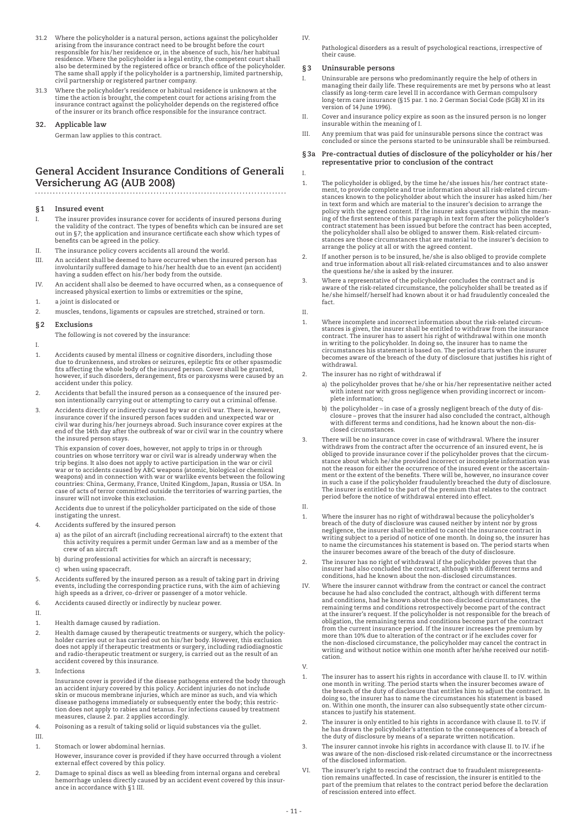- 31.2 Where the policyholder is a natural person, actions against the policyholder arising from the insurance contract need to be brought before the court<br>responsible for his/her residence or, in the absence of such, his/her habitual<br>residence. Where the policyholder is a legal entity, the competent cour also be determined by the registered office or branch office of the policyholder.<br>The same shall apply if the policyholder is a partnership, limited partnership,<br>civil partnership or registered partner company.
- 31.3 Where the policyholder's residence or habitual residence is unknown at the time the action is brought, the competent court for actions arising from the<br>insurance contract against the policyholder depends on the registered office<br>of the insurer or its branch office responsible for the insurance co

# **32. Applicable law**

German law applies to this contract.

# **General Accident Insurance Conditions of Generali Versicherung AG (AUB 2008)**

# **§1 Insured event**

- I. The insurer provides insurance cover for accidents of insured persons during the validity of the contract. The types of benefits which can be insured are set out in §7; the application and insurance certificate each show which types of benefits can be agreed in the policy.
- II. The insurance policy covers accidents all around the world.
- III. An accident shall be deemed to have occurred when the insured person has involuntarily suffered damage to his/her health due to an event (an accident) having a sudden effect on his/her body from the outside.
- IV. An accident shall also be deemed to have occurred when, as a consequence of increased physical exertion to limbs or extremities or the spine,
- 1. a joint is dislocated or
- 2. muscles, tendons, ligaments or capsules are stretched, strained or torn.

# **§2 Exclusions**

The following is not covered by the insurance:

I.

- 1. Accidents caused by mental illness or cognitive disorders, including those due to drunkenness, and strokes or seizures, epileptic fits or other spasmodic fits affecting the whole body of the insured person. Cover shall be granted, however, if such disorders, derangement, fits or paroxysms were caused by an accident under this policy.
- 2. Accidents that befall the insured person as a consequence of the insured person intentionally carrying out or attempting to carry out a criminal offense.
- 3. Accidents directly or indirectly caused by war or civil war. There is, however, insurance cover if the insured person faces sudden and unexpected war or civil war during his/her journeys abroad. Such insurance cover expires at the end of the 14th day after the outbreak of war or civil war in the country where the insured person stays.

 This expansion of cover does, however, not apply to trips in or through countries on whose territory war or civil war is already underway when the trip begins. It also does not apply to active participation in the war or civil war or to accidents caused by ABC weapons (atomic, biological or chemical weapons) and in connection with war or warlike events between the following countries: China, Germany, France, United Kingdom, Japan, Russia or USA. In case of acts of terror committed outside the territories of warring parties, the insurer will not invoke this exclusion.

 Accidents due to unrest if the policyholder participated on the side of those instigating the unrest.

- 4. Accidents suffered by the insured person
	- a) as the pilot of an aircraft (including recreational aircraft) to the extent that this activity requires a permit under German law and as a member of the crew of an aircraft
	- b) during professional activities for which an aircraft is necessary;
	- c) when using spacecraft.
- 5. Accidents suffered by the insured person as a result of taking part in driving events, including the corresponding practice runs, with the aim of achieving high speeds as a driver, co-driver or passenger of a motor vehicle.
- 6. Accidents caused directly or indirectly by nuclear power.

II.

- 1. Health damage caused by radiation.
- 2. Health damage caused by therapeutic treatments or surgery, which the policyholder carries out or has carried out on his/her body. However, this exclusion<br>does not apply if therapeutic treatments or surgery, including radiodiagnostic<br>and radio-therapeutic treatment or surgery, is carried out as th accident covered by this insurance.
- 3. Infections

 Insurance cover is provided if the disease pathogens entered the body through an accident injury covered by this policy. Accident injuries do not include skin or mucous membrane injuries, which are minor as such, and via which disease pathogens immediately or subsequently enter the body; this restric-tion does not apply to rabies and tetanus. For infections caused by treatment measures, clause 2. par. 2 applies accordingly.

- 4. Poisoning as a result of taking solid or liquid substances via the gullet.
- III.
- 1. Stomach or lower abdominal hernias.
- However, insurance cover is provided if they have occurred through a violent external effect covered by this policy.
- 2. Damage to spinal discs as well as bleeding from internal organs and cerebral hemorrhage unless directly caused by an accident event covered by this insur-ance in accordance with §1 III.
- IV.
	- Pathological disorders as a result of psychological reactions, irrespective of their caus

#### **§3 Uninsurable persons**

- I. Uninsurable are persons who predominantly require the help of others in managing their daily life. These requirements are met by persons who at least classify as long-term care level II in accordance with German compulsory long-term care insurance (§15 par. 1 no. 2 German Social Code (SGB) XI in its version of 14 June 1996).
- II. Cover and insurance policy expire as soon as the insured person is no longer insurable within the meaning of I.
- III. Any premium that was paid for uninsurable persons since the contract was concluded or since the persons started to be uninsurable shall be reimbursed.

# **§3a Pre-contractual duties of disclosure of the policyholder or his /her representative prior to conclusion of the contract**

- 1. The policyholder is obliged, by the time he/she issues his/her contract statement, to provide complete and true information about all risk-related circum-stances known to the policyholder about which the insurer has asked him/her in text form and which are material to the insurer's decision to arrange the policy with the agreed content. If the insurer asks questions within the mean-ing of the first sentence of this paragraph in text form after the policyholder's contract statement has been issued but before the contract has been accepted, the policyholder shall also be obliged to answer them. Risk-related circumstances are those circumstances that are material to the insurer's decision to arrange the policy at all or with the agreed content.
- 2. If another person is to be insured, he/she is also obliged to provide complete and true information about all risk-related circumstances and to also answer the questions he/she is asked by the insurer.
- 3. Where a representative of the policyholder concludes the contract and is aware of the risk-related circumstance, the policyholder shall be treated as if he/she himself/herself had known about it or had fraudulently concealed the fact.

II.

I.

- 1. Where incomplete and incorrect information about the risk-related circumstances is given, the insurer shall be entitled to withdraw from the insurance<br>contract. The insurer has to assert his right of withdrawal within one month<br>in writing to the policyholder. In doing so, the insurer has to na circumstances his statement is based on. The period starts when the insurer becomes aware of the breach of the duty of disclosure that justifies his right of withdrawal.
- 2. The insurer has no right of withdrawal if
	- a) the policyholder proves that he/she or his/her representative neither acted with intent nor with gross negligence when providing incorrect or incomplete information;
	- b) the policyholder in case of a grossly negligent breach of the duty of discoure proves that the insurer had also concluded the contract, although<br>with different terms and conditions, had he known about the non-disclosed circumstances.
- 3. There will be no insurance cover in case of withdrawal. Where the insurer withdraws from the contract after the occurrence of an insured event, he is obliged to provide insurance cover if the policyholder proves that the circumstance about which he/she provided incorrect or incomplete information was not the reason for either the occurrence of the insured event or the ascertainment or the extent of the benefits. There will be, however, no insurance cover in such a case if the policyholder fraudulently breached the duty of disclosure. The insurer is entitled to the part of the premium that relates to the contract period before the notice of withdrawal entered into effect.
- 1. Where the insurer has no right of withdrawal because the policyholder's breach of the duty of disclosure was caused neither by intent nor by gross negligence, the insurer shall be entitled to cancel the insurance contract in writing subject to a period of notice of one month. In doing so, the insurer has to name the circumstances his statement is based on. The period starts when the insurer becomes aware of the breach of the duty of disclosure.
- 2. The insurer has no right of withdrawal if the policyholder proves that the insurer had also concluded the contract, although with different terms and conditions, had he known about the non-disclosed circumstances.
- IV. Where the insurer cannot withdraw from the contract or cancel the contract because he had also concluded the contract, although with different terms and conditions, had he known about the non-disclosed circumstances, the remaining terms and conditions retrospectively become part of the contract at the insurer's request. If the policyholder is not responsible for the breach of obligation, the remaining terms and conditions become part of the contract from the current insurance period. If the insurer increases the premium by more than 10% due to alteration of the contract or if he excludes cover for the non-disclosed circumstance, the policyholder may cancel the contract in writing and without notice within one month after he/she received our notification.
- V.

II.

- 1. The insurer has to assert his rights in accordance with clause II. to IV. within one month in writing. The period starts when the insurer becomes aware of the breach of the duty of disclosure that entitles him to adjust the contract. In doing so, the insurer has to name the circumstances his statement is based on. Within one month, the insurer can also subsequently state other circumstances to justify his statement.
- 2. The insurer is only entitled to his rights in accordance with clause II. to IV. if he has drawn the policyholder's attention to the consequences of a breach of the duty of disclosure by means of a separate written notification.
- 3. The insurer cannot invoke his rights in accordance with clause II. to IV. if he was aware of the non-disclosed risk-related circumstance or the incorrectness of the disclosed information.
- VI. The insurer's right to rescind the contract due to fraudulent misrepresentation remains unaffected. In case of rescission, the insurer is entitled to the part of the premium that relates to the contract period before the declaration of rescission entered into effect.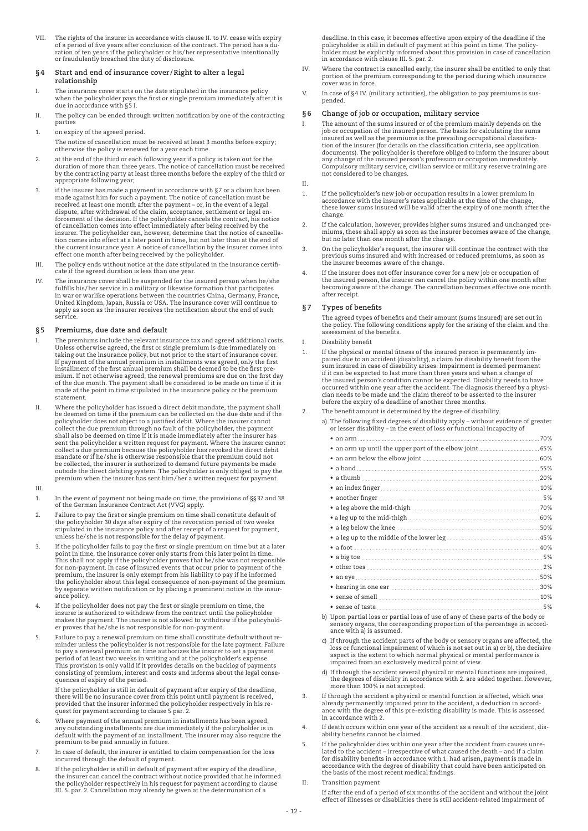VII. The rights of the insurer in accordance with clause II. to IV. cease with expiry of a period of five years after conclusion of the contract. The period has a du-ration of ten years if the policyholder or his/her representative intentionally or fraudulently breached the duty of disclosure.

#### **§4 Start and end of insurance cover /Right to alter a legal relationship**

- I. The insurance cover starts on the date stipulated in the insurance policy when the policyholder pays the first or single premium immediately after it is due in accordance with §5 I.
- II. The policy can be ended through written notification by one of the contracting parties
- 1. on expiry of the agreed period.
- The notice of cancellation must be received at least 3 months before expiry; otherwise the policy is renewed for a year each time.
- 2. at the end of the third or each following year if a policy is taken out for the duration of more than three years. The notice of cancellation must be received by the contracting party at least three months before the expiry of the third or appropriate following year;
- 3. If the insurer has made a payment in accordance with §7 or a claim has been<br>made against him for such a payment. The notice of cancellation must be<br>received at least one month after the payment or, in the event of a l dispute, after withdrawal of the claim, acceptance, settlement or legal en-<br>forcement of the decision. If the policyholder cancels the contract, his notice<br>of cancellation comes into effect immediately after being received tion comes into effect at a later point in time, but not later than at the end of the current insurance year. A notice of cancellation by the insurer comes into effect one month after being received by the policyholder.
- III. The policy ends without notice at the date stipulated in the insurance certificate if the agreed duration is less than one year.
- IV. The insurance cover shall be suspended for the insured person when he/she fulfills his/her service in a military or likewise formation that participates in war or warlike operations between the countries China, Germany, France, United Kingdom, Japan, Russia or USA. The insurance cover will continue to apply as soon as the insurer receives the notification about the end of such service.

# **§5 Premiums, due date and default**

- I. The premiums include the relevant insurance tax and agreed additional costs. Unless otherwise agreed, the first or single premium is due immediately on taking out the insurance policy, but not prior to the start of insurance cover. If payment of the annual premium in installments was agreed, only the first installment of the first annual premium shall be deemed to be the first pre-mium. If not otherwise agreed, the renewal premiums are due on the first day of the due month. The payment shall be considered to be made on time if it is made at the point in time stipulated in the insurance policy or the premium statement.
- II. Where the policyholder has issued a direct debit mandate, the payment shall be deemed on time if the premium can be collected on the due date and if the<br>policyholder does not object to a justified debit. Where the insurer cannot<br>collect the due premium through no fault of the policyholder, the pay shall also be deemed on time if it is made immediately after the insurer has sent the policyholder a written request for payment. Where the insurer cannot collect a due premium because the policyholder has revoked the direct debit mandate or if he/she is otherwise responsible that the premium could not be collected, the insurer is authorized to demand future payments be made<br>outside the direct debiting system. The policyholder is only obliged to pay the<br>premium when the insurer has sent him/her a written request for paym

#### III.

- 1. In the event of payment not being made on time, the provisions of §§37 and 38 of the German Insurance Contract Act (VVG) apply.
- 2. Failure to pay the first or single premium on time shall constitute default of the policyholder 30 days after expiry of the revocation period of two weeks stipulated in the insurance policy and after receipt of a request for payment, unless he/she is not responsible for the delay of payment.
- 3. If the policyholder fails to pay the first or single premium on time but at a later point in time, the insurance cover only starts from this later point in time. This shall not apply if the policyholder proves that he/she was not responsible for non-payment. In case of insured events that occur prior to payment of the premium, the insurer is only exempt from his liability to pay if he informed the policyholder about this legal consequence of non-payment of the premium by separate written notification or by placing a prominent notice in the insurance policy.
- If the policyholder does not pay the first or single premium on time, the insurer is authorized to withdraw from the contract until the policyholder makes the payment. The insurer is not allowed to withdraw if the policyholder proves that he/she is not responsible for non-payment.
- 5. Failure to pay a renewal premium on time shall constitute default without reminder unless the policyholder is not responsible for the late payment. Failure to pay a renewal premium on time authorizes the insurer to set a payment period of at least two weeks in writing and at the policyholder's expense. This provision is only valid if it provides details on the backlog of payments consisting of premium, interest and costs and informs about the legal consequences of expiry of the period.

 If the policyholder is still in default of payment after expiry of the deadline, there will be no insurance cover from this point until payment is received, provided that the insurer informed the policyholder respectively in his request for payment according to clause 5 par. 2.

- 6. Where payment of the annual premium in installments has been agreed, any outstanding installments are due immediately if the policyholder is in default with the payment of an installment. The insurer may also require the premium to be paid annually in future.
- 7. In case of default, the insurer is entitled to claim compensation for the loss incurred through the default of payment.
- 8. If the policyholder is still in default of payment after expiry of the deadline,<br>the insurer can cancel the contract without notice provided that he informed<br>the policyholder respectively in his request for payment acco

deadline. In this case, it becomes effective upon expiry of the deadline if the policyholder is still in default of payment at this point in time. The policy-holder must be explicitly informed about this provision in case of cancellation in accordance with clause III. 5. par. 2.

- IV. Where the contract is cancelled early, the insurer shall be entitled to only that portion of the premium corresponding to the period during which insurance cover was in force.
- V. In case of §4 IV. (military activities), the obligation to pay premiums is suspended.

# **§6 Change of job or occupation, military service**

I. The amount of the sums insured or of the premium mainly depends on the job or occupation of the insured person. The basis for calculating the sums insured as well as the premiums is the prevailing occupational classification of the insurer (for details on the classification criteria, see application documents). The policyholder is therefore obliged to inform the insurer about any change of the insured person's profession or occupation immediately. Compulsory military service, civilian service or military reserve training are not considered to be changes.

II.

- 1. If the policyholder's new job or occupation results in a lower premium in accordance with the insurer's rates applicable at the time of the change, these lower sums insured will be valid after the expiry of one month after the change.
- 2. If the calculation, however, provides higher sums insured and unchanged pre-miums, these shall apply as soon as the insurer becomes aware of the change, but no later than one month after the change.
- 3. On the policyholder's request, the insurer will continue the contract with the previous sums insured and with increased or reduced premiums, as soon as previous sums moderated and with measurest
- 4. If the insurer does not offer insurance cover for a new job or occupation of the insured person, the insurer can cancel the policy within one month after becoming aware of the change. The cancellation becomes effective one month after receipt.

# **§7 Types of benefits**

 The agreed types of benefits and their amount (sums insured) are set out in the policy. The following conditions apply for the arising of the claim and the assessment of the benefits.

- I. Disability benefit
	- If the physical or mental fitness of the insured person is permanently impaired due to an accident (disability), a claim for disability benefit from the sum insured in case of disability arises. Impairment if it can be expected to last more than three years and when a change of the insured pers before the expiry of a deadline of another three months.
- 2. The benefit amount is determined by the degree of disability.
	- a) The following fixed degrees of disability apply without evidence of greater or lesser disability in the event of loss or functional incapacity of

| • sense of taste $5\%$ |  |
|------------------------|--|

- b) Upon partial loss or partial loss of use of any of these parts of the body or sensory organs, the corresponding proportion of the percentage in accordance with a) is assumed.
- c) If through the accident parts of the body or sensory organs are affected, the loss or functional impairment of which is not set out in a) or b), the decisive aspect is the extent to which normal physical or mental performance is impaired from an exclusively medical point of view.
- d) If through the accident several physical or mental functions are impaired, the degrees of disability in accordance with 2. are added together. However, more than 100% is not accepted.
- 3. If through the accident a physical or mental function is affected, which was already permanently impaired prior to the accident, a deduction in accordance with the degree of this pre-existing disability is made. This is assessed in accordance with 2.
- 4. If death occurs within one year of the accident as a result of the accident, disability benefits cannot be claimed.
- If the policyholder dies within one year after the accident from causes unrelated to the accident – irrespective of what caused the death – and if a claim for disability benefits in accordance with 1. had arisen, payment is made in accordance with the degree of disability that could have been anticipated on the basis of the most recent medical findings.
- II. Transition payment

 If after the end of a period of six months of the accident and without the joint effect of illnesses or disabilities there is still accident-related impairment of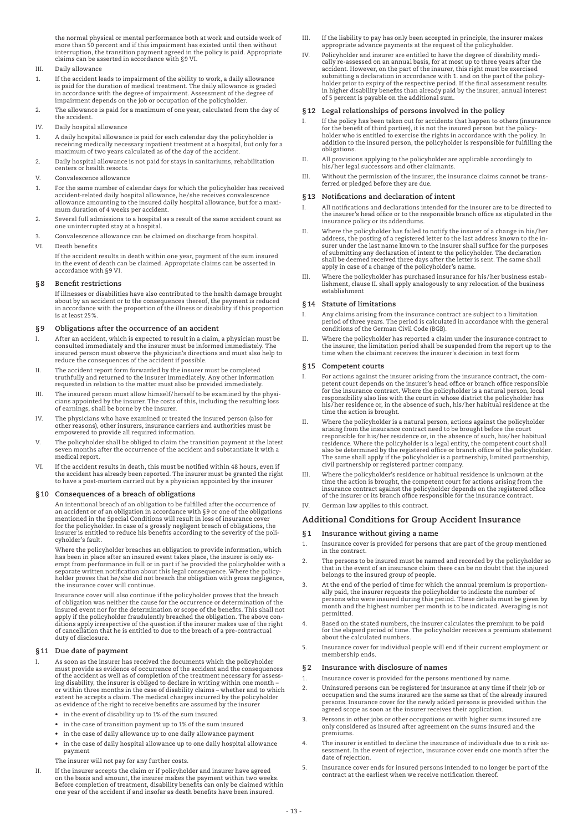the normal physical or mental performance both at work and outside work of more than 50 percent and if this impairment has existed until then without interruption, the transition payment agreed in the policy is paid. Appropriate claims can be asserted in accordance with §9 VI.

# III. Daily allowance

- 1. If the accident leads to impairment of the ability to work, a daily allowance is paid for the duration of medical treatment. The daily allowance is graded in accordance with the degree of impairment. Assessment of the degree of impairment depends on the job or occupation of the policyholder.
- 2. The allowance is paid for a maximum of one year, calculated from the day of the accident.
- IV. Daily hospital allowance
- 1. A daily hospital allowance is paid for each calendar day the policyholder is receiving medically necessary inpatient treatment at a hospital, but only for a maximum of two years calculated as of the day of the accident.
- 2. Daily hospital allowance is not paid for stays in sanitariums, rehabilitation centers or health resorts.
- V. Convalescence allowance
- 1. For the same number of calendar days for which the policyholder has received accident-related daily hospital allowance, he/she receives convalescence allowance amounting to the insured daily hospital allowance, but for a maximum duration of 4 weeks per accident.
- 2. Several full admissions to a hospital as a result of the same accident count as one uninterrupted stay at a hospital.
- 3. Convalescence allowance can be claimed on discharge from hospital.

# VI. Death benefits

 If the accident results in death within one year, payment of the sum insured in the event of death can be claimed. Appropriate claims can be asserted in accordance with §9 VI.

# **§8 Benefit restrictions**

 If illnesses or disabilities have also contributed to the health damage brought about by an accident or to the consequences thereof, the payment is reduced in accordance with the proportion of the illness or disability if this proportion is at least 25%.

# **§9 Obligations after the occurrence of an accident**

- I. After an accident, which is expected to result in a claim, a physician must be consulted immediately and the insurer must be informed immediately. The insured person must observe the physician's directions and must also help to reduce the consequences of the accident if possible.
- II. The accident report form forwarded by the insurer must be completed truthfully and returned to the insurer immediately. Any other information requested in relation to the matter must also be provided immediately.
- III. The insured person must allow himself/herself to be examined by the physicians appointed by the insurer. The costs of this, including the resulting loss of earnings, shall be borne by the insurer.
- IV. The physicians who have examined or treated the insured person (also for other reasons), other insurers, insurance carriers and authorities must be empowered to provide all required information.
- V. The policyholder shall be obliged to claim the transition payment at the latest seven months after the occurrence of the accident and substantiate it with a medical report.
- VI. If the accident results in death, this must be notified within 48 hours, even if the accident has already been reported. The insurer must be granted the right to have a post-mortem carried out by a physician appointed by the insurer

# **§10 Consequences of a breach of obligations**

 An intentional breach of an obligation to be fulfilled after the occurrence of an accident or of an obligation in accordance with §9 or one of the obligations mentioned in the Special Conditions will result in loss of insurance cover for the policyholder. In case of a grossly negligent breach of obligations, the insurer is entitled to reduce his benefits according to the severity of the policyholder's fault.

 Where the policyholder breaches an obligation to provide information, which has been in place after an insured event takes place, the insurer is only exempt from performance in full or in part if he provided the policyholder with a separate written notification about this legal consequence. Where the policyholder proves that he/she did not breach the obligation with gross negligence, the insurance cover will continue.

 Insurance cover will also continue if the policyholder proves that the breach of obligation was neither the cause for the occurrence or determination of the<br>insured event nor for the determination or scope of the benefits. This shall not<br>apply if the policyholder fraudulently breached the obligation of cancellation that he is entitled to due to the breach of a pre-contractual duty of disclosure.

# **§11 Due date of payment**

- As soon as the insurer has received the documents which the policyholder must provide as evidence of occurrence of the accident and the consequences of the accident as well as of completion of the treatment necessary for assessing disability, the insurer is obliged to declare in writing within one month – or within three months in the case of disability claims – whether and to which extent he accepts a claim. The medical charges incurred by the policyholder as evidence of the right to receive benefits are assumed by the insurer
	- • in the event of disability up to 1% of the sum insured
	- • in the case of transition payment up to 1% of the sum insured
	- • in the case of daily allowance up to one daily allowance payment
	- • in the case of daily hospital allowance up to one daily hospital allowance payment
	- The insurer will not pay for any further costs.
- II. If the insurer accepts the claim or if policyholder and insurer have agreed on the basis and amount, the insurer makes the payment within two weeks. Before completion of treatment, disability benefits can only be claimed within one year of the accident if and insofar as death benefits have been insured.
- III. If the liability to pay has only been accepted in principle, the insurer makes appropriate advance payments at the request of the policyholder.
- IV. Policyholder and insurer are entitled to have the degree of disability medically re-assessed on an annual basis, for at most up to three years after the accident. However, on the part of the insurer, this right must be exercised submitting a declaration in accordance with 1. and on the part of the policy-holder prior to expiry of the respective period. If the final assessment results in higher disability benefits than already paid by the insurer, annual interest of 5 percent is payable on the additional sum.

### **§12 Legal relationships of persons involved in the policy**

- I. If the policy has been taken out for accidents that happen to others (insurance for the benefit of third parties), it is not the insured person but the policyholder who is entitled to exercise the rights in accordance with the policy. In addition to the insured person, the policyholder is responsible for fulfilling the obligations.
- II. All provisions applying to the policyholder are applicable accordingly to his/her legal successors and other claimants.
- III. Without the permission of the insurer, the insurance claims cannot be transferred or pledged before they are due.

### **§13 Notifications and declaration of intent**

- I. All notifications and declarations intended for the insurer are to be directed to the insurer's head office or to the responsible branch office as stipulated in the insurance policy or its addendums.
- II. Where the policyholder has failed to notify the insurer of a change in his/her<br>address, the posting of a registered letter to the last address known to the insurer under the last name known to the insurer shall suffice for the purposes of submitting any declaration of intent to the policyholder. The declaration shall be deemed received three days after the letter is sent. The same shall apply in case of a change of the policyholder's name.
- III. Where the policyholder has purchased insurance for his /her business establishment, clause II. shall apply analogously to any relocation of the business establishment

#### **§14 Statute of limitations**

- I. Any claims arising from the insurance contract are subject to a limitation period of three years. The period is calculated in accordance with the general conditions of the German Civil Code (BGB).
- II. Where the policyholder has reported a claim under the insurance contract to the insurer, the limitation period shall be suspended from the report up to the time when the claimant receives the insurer's decision in text form

#### **§15 Competent courts**

- I. For actions against the insurer arising from the insurance contract, the competent court depends on the insurer's head office or branch office responsible for the insurance contract. Where the policyholder is a natural person, local responsibility also lies with the court in whose district the policyholder has his/her residence or, in the absence of such, his/her habitual residence at the time the action is brought.
- II. Where the policyholder is a natural person, actions against the policyholder arising from the insurance contract need to be brought before the court responsible for his/her residence or, in the absence of such, his/her habitual residence. Where the policyholder is a legal entity, the competent court shall also be determined by the registered office or branch office of the policyholder. The same shall apply if the policyholder is a partnership, limited partnership, civil partnership or registered partner company.
- III. Where the policyholder's residence or habitual residence is unknown at the time the action is brought, the competent court for actions arising from the<br>insurance contract against the policyholder depends on the registered office<br>of the insurer or its branch office responsible for the insurance co
- IV. German law applies to this contract.

# **Additional Conditions for Group Accident Insurance**

- **§1 Insurance without giving a name**
- 1. Insurance cover is provided for persons that are part of the group mentioned in the contract.
- 2. The persons to be insured must be named and recorded by the policyholder so that in the event of an insurance claim there can be no doubt that the injured belongs to the insured group of people.
- 3. At the end of the period of time for which the annual premium is proportionally paid, the insurer requests the policyholder to indicate the number of<br>persons who were insured during this period. These details must be given by<br>month and the highest number per month is to be indicated. Averaging is permitted.
- Based on the stated numbers, the insurer calculates the premium to be paid for the elapsed period of time. The policyholder receives a premium statement about the calculated numbers.
- 5. Insurance cover for individual people will end if their current employment or membership ends.

# **§2 Insurance with disclosure of names**

- 1. Insurance cover is provided for the persons mentioned by name.
- 2. Uninsured persons can be registered for insurance at any time if their job or occupation and the sums insured are the same as that of the already insured persons. Insurance cover for the newly added persons is provided within the agreed scope as soon as the insurer receives their application.
- 3. Persons in other jobs or other occupations or with higher sums insured are only considered as insured after agreement on the sums insured and the premiums.
- 4. The insurer is entitled to decline the insurance of individuals due to a risk as-sessment. In the event of rejection, insurance cover ends one month after the date of rejection.
- 5. Insurance cover ends for insured persons intended to no longer be part of the contract at the earliest when we receive notification thereof.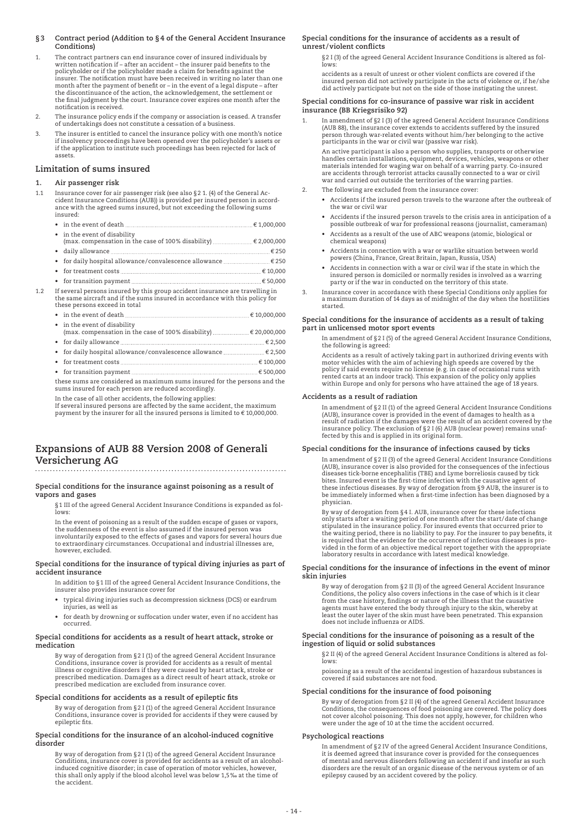# **§3 Contract period (Addition to §4 of the General Accident Insurance Conditions)**

- 1. The contract partners can end insurance cover of insured individuals by written notification if after an accident the insurer paid benefits to the policyholder or if the policyholder made a claim for benefits against the insurer. The notification must have been received in writing no later than one month after the payment of benefit or – in the event of a legal dispute – after the discontinuance of the action, the acknowledgement, the settlement or the final judgment by the court. Insurance cover expires one month after the notification is received.
- 2. The insurance policy ends if the company or association is ceased. A transfer of undertakings does not constitute a cessation of a business.
- 3. The insurer is entitled to cancel the insurance policy with one month's notice if insolvency proceedings have been opened over the policyholder's assets or if the application to institute such proceedings has been rejected for lack of assets.

# **Limitation of sums insured**

# **1. Air passenger risk**

- 1.1 Insurance cover for air passenger risk (see also §2 1. (4) of the General Accident Insurance Conditions (AUB)) is provided per insured person in accord-ance with the agreed sums insured, but not exceeding the following sums insured:
- in the event of death  $\epsilon$  1,000,000 •  $\,$  in the event of disability<br>(max. compensation in the case of 100% disability) .........................€ 2,000,000
	- • daily allowance € 250
	- for daily hospital allowance/convalescence allowance  $\dots\dots\dots\dots\dots\dots\dots\in$  250
	- for treatment costs  $\ldots$   $\ldots$   $\ldots$   $\ldots$   $\ldots$   $\ldots$   $\ldots$   $\ldots$   $\ldots$   $\ldots$   $\ldots$   $\ldots$   $\ldots$   $\ldots$   $\ldots$   $\ldots$   $\ldots$   $\ldots$   $\ldots$   $\ldots$   $\ldots$   $\ldots$   $\ldots$   $\ldots$   $\ldots$   $\ldots$   $\ldots$   $\ldots$   $\ldots$   $\ldots$   $\ldots$   $\ldots$   $\ldots$
- • for transition payment € 50,000 1.2 If several persons insured by this group accident insurance are travelling in
	- the same aircraft and if the sums insured in accordance with this policy for these persons exceed in total  $\epsilon$  in the event of death  $\epsilon$  10,000,000  $\epsilon$

|  | • in the event of disability                                                |  |
|--|-----------------------------------------------------------------------------|--|
|  |                                                                             |  |
|  |                                                                             |  |
|  | • for daily hospital allowance/convalescence allowance $\ldots$ $\in$ 2,500 |  |
|  |                                                                             |  |

 • for treatment costs € 100,000 • for transition payment € 500,000

 these sums are considered as maximum sums insured for the persons and the sums insured for each person are reduced accordingly.

In the case of all other accidents, the following applies:

If several insured persons are affected by the same accident, the maximum payment by the insurer for all the insured persons is limited to € 10,000,000.

# **Expansions of AUB 88 Version 2008 of Generali Versicherung AG**

# **Special conditions for the insurance against poisoning as a result of vapors and gases**

§1 III of the agreed General Accident Insurance Conditions is expanded as fol-lows:

 In the event of poisoning as a result of the sudden escape of gases or vapors, the suddenness of the event is also assumed if the insured person was involuntarily exposed to the effects of gases and vapors for several hours due to extraordinary circumstances. Occupational and industrial illnesses are, however, excluded.

#### **Special conditions for the insurance of typical diving injuries as part of accident insurance**

- In addition to §1 III of the agreed General Accident Insurance Conditions, the insurer also provides insurance cover for
- typical diving injuries such as decompression sickness (DCS) or eardrum injuries, as well as
- for death by drowning or suffocation under water, even if no accident has occurred.

# **Special conditions for accidents as a result of heart attack, stroke or medication**

 By way of derogation from §2 I (1) of the agreed General Accident Insurance Conditions, insurance cover is provided for accidents as a result of mental illness or cognitive disorders if they were caused by heart attack, stroke or prescribed medication. Damages as a direct result of heart attack, stroke or prescribed medication are excluded from insurance cover.

# **Special conditions for accidents as a result of epileptic fits**

 By way of derogation from §2 I (1) of the agreed General Accident Insurance Conditions, insurance cover is provided for accidents if they were caused by epileptic fits.

#### **Special conditions for the insurance of an alcohol-induced cognitive disorder**

 By way of derogation from §2 I (1) of the agreed General Accident Insurance Conditions, insurance cover is provided for accidents as a result of an alcohol-induced cognitive disorder; in case of operation of motor vehicles, however, this shall only apply if the blood alcohol level was below 1,5‰ at the time of the accident.

# **Special conditions for the insurance of accidents as a result of unrest/violent conflicts**

 §2 I (3) of the agreed General Accident Insurance Conditions is altered as follows:

 accidents as a result of unrest or other violent conflicts are covered if the insured person did not actively participate in the acts of violence or, if he/she did actively participate but not on the side of those instigating the unrest.

# **Special conditions for co-insurance of passive war risk in accident insurance (BB Kriegsrisiko 92)**

1. In amendment of §2 I (3) of the agreed General Accident Insurance Conditions (AUB 88), the insurance cover extends to accidents suffered by the insured person through war-related events without him/her belonging to the active participants in the war or civil war (passive war risk).

 An active participant is also a person who supplies, transports or otherwise handles certain installations, equipment, devices, vehicles, weapons or other materials intended for waging war on behalf of a warring party. Co-insured are accidents through terrorist attacks causally connected to a war or civil war and carried out outside the territories of the warring parties.

- 2. The following are excluded from the insurance cover:
	- • Accidents if the insured person travels to the warzone after the outbreak of the war or civil war
	- • Accidents if the insured person travels to the crisis area in anticipation of a possible outbreak of war for professional reasons (journalist, cameraman)
	- • Accidents as a result of the use of ABC weapons (atomic, biological or chemical weapons)
	- • Accidents in connection with a war or warlike situation between world powers (China, France, Great Britain, Japan, Russia, USA)
	- • Accidents in connection with a war or civil war if the state in which the insured person is domiciled or normally resides is involved as a warring party or if the war in conducted on the territory of this state.
- 3. Insurance cover in accordance with these Special Conditions only applies for a maximum duration of 14 days as of midnight of the day when the hostilities started.

# **Special conditions for the insurance of accidents as a result of taking part in unlicensed motor sport events**

 In amendment of §2 I (5) of the agreed General Accident Insurance Conditions, the following is agreed:

 Accidents as a result of actively taking part in authorized driving events with motor vehicles with the aim of achieving high speeds are covered by the<br>policy if said events require no license (e.g. in case of occasional runs with<br>rented carts at an indoor track). This expansion of the policy only app within Europe and only for persons who have attained the age of 18 years.

# **Accidents as a result of radiation**

 In amendment of §2 II (1) of the agreed General Accident Insurance Conditions (AUB), insurance cover is provided in the event of damages to health as a<br>result of radiation if the damages were the result of an accident covered by the<br>insurance policy. The exclusion of §2 I (6) AUB (nuclear power) rem fected by this and is applied in its original form.

# **Special conditions for the insurance of infections caused by ticks**

 In amendment of §2 II (3) of the agreed General Accident Insurance Conditions (AUB), insurance cover is also provided for the consequences of the infectious diseases tick-borne encephalitis (TBE) and Lyme borreliosis caused by tick bites. Insured event is the first-time infection with the causative agent of these infectious diseases. By way of derogation from §9 AUB, the insurer is to be immediately informed when a first-time infection has been diagnosed by a physician.

 By way of derogation from §4 I. AUB, insurance cover for these infections only starts after a waiting period of one month after the start/date of change stipulated in the insurance policy. For insured events that occurred prior to the waiting period, there is no liability to pay. For the insurer to pay benefits, it is required that the evidence for the occurrence of infectious diseases is provided in the form of an objective medical report together with the appropriate laboratory results in accordance with latest medical knowledge.

## **Special conditions for the insurance of infections in the event of minor skin injuries**

By way of derogation from §2 II (3) of the agreed General Accident Insurance<br>Conditions, the policy also covers infections in the case of which is it clear<br>from the case history, findings or nature of the illness that the least the outer layer of the skin must have been penetrated. This expansion does not include influenza or AIDS.

#### **Special conditions for the insurance of poisoning as a result of the ingestion of liquid or solid substances**

 §2 II (4) of the agreed General Accident Insurance Conditions is altered as follows:

 poisoning as a result of the accidental ingestion of hazardous substances is covered if said substances are not food.

# **Special conditions for the insurance of food poisoning**

 By way of derogation from §2 II (4) of the agreed General Accident Insurance Conditions, the consequences of food poisoning are covered. The policy does not cover alcohol poisoning. This does not apply, however, for children who were under the age of 10 at the time the accident occurred.

# **Psychological reactions**

 In amendment of §2 IV of the agreed General Accident Insurance Conditions, it is deemed agreed that insurance cover is provided for the consequences of mental and nervous disorders following an accident if and insofar as such disorders are the result of an organic disease of the nervous system or of an epilepsy caused by an accident covered by the policy.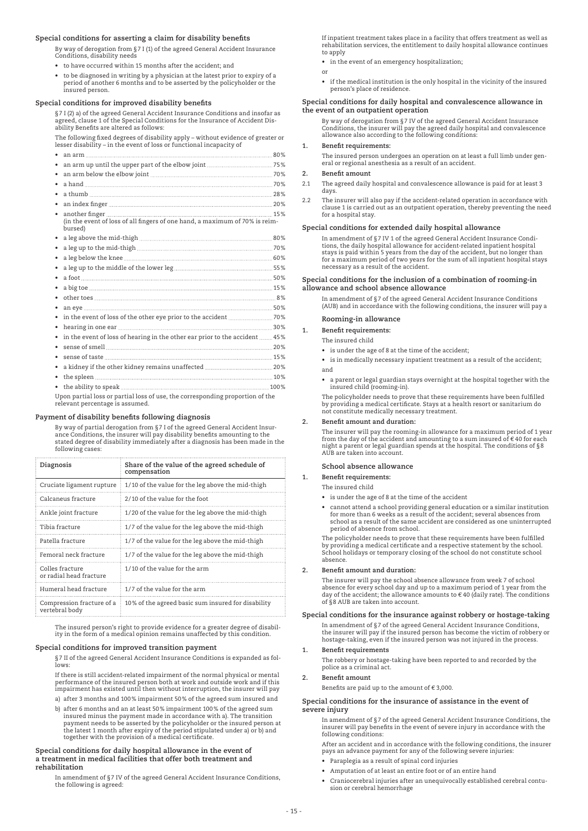# **Special conditions for asserting a claim for disability benefits**

 By way of derogation from §7 I (1) of the agreed General Accident Insurance Conditions, disability needs

- to have occurred within 15 months after the accident; and
- to be diagnosed in writing by a physician at the latest prior to expiry of a period of another 6 months and to be asserted by the policyholder or the insured person.

# **Special conditions for improved disability benefits**

 §7 I (2) a) of the agreed General Accident Insurance Conditions and insofar as agreed, clause 1 of the Special Conditions for the Insurance of Accident Disability Benefits are altered as follows:

 The following fixed degrees of disability apply – without evidence of greater or lesser disability – in the event of loss or functional incapacity of

| ٠         |                                                                                        |  |
|-----------|----------------------------------------------------------------------------------------|--|
| ٠         |                                                                                        |  |
| $\bullet$ |                                                                                        |  |
|           |                                                                                        |  |
| ٠         |                                                                                        |  |
| ٠         |                                                                                        |  |
|           | (in the event of loss of all fingers of one hand, a maximum of 70% is reim-<br>bursed) |  |
|           |                                                                                        |  |
|           |                                                                                        |  |
|           |                                                                                        |  |
|           |                                                                                        |  |
|           |                                                                                        |  |
|           |                                                                                        |  |
|           |                                                                                        |  |
|           |                                                                                        |  |
| ٠         |                                                                                        |  |
| ٠         |                                                                                        |  |
| ٠         | in the event of loss of hearing in the other ear prior to the accident  45%            |  |
|           |                                                                                        |  |
|           |                                                                                        |  |
| ٠         |                                                                                        |  |
| ٠         |                                                                                        |  |
|           |                                                                                        |  |
|           | I non partial loss or partial loss of use the corresponding proportion of the          |  |

 Upon partial loss or partial loss of use, the corresponding proportion of the relevant percentage is assumed.

#### **Payment of disability benefits following diagnosis**

 By way of partial derogation from §7 I of the agreed General Accident Insur-ance Conditions, the insurer will pay disability benefits amounting to the stated degree of disability immediately after a diagnosis has been made in the following cases:

| Diagnosis                                   | Share of the value of the agreed schedule of<br>compensation |
|---------------------------------------------|--------------------------------------------------------------|
| Cruciate ligament rupture                   | 1/10 of the value for the leg above the mid-thigh            |
| Calcaneus fracture                          | 2/10 of the value for the foot                               |
| Ankle joint fracture                        | 1/20 of the value for the leg above the mid-thigh            |
| Tibia fracture                              | 1/7 of the value for the leg above the mid-thigh             |
| Patella fracture                            | 1/7 of the value for the leg above the mid-thigh             |
| Femoral neck fracture                       | 1/7 of the value for the leg above the mid-thigh             |
| Colles fracture<br>or radial head fracture  | 1/10 of the value for the arm                                |
| Humeral head fracture                       | 1/7 of the value for the arm                                 |
| Compression fracture of a<br>vertebral body | 10% of the agreed basic sum insured for disability           |

The insured person's right to provide evidence for a greater degree of disabil-ity in the form of a medical opinion remains unaffected by this condition.

#### **Special conditions for improved transition payment**

 §7 II of the agreed General Accident Insurance Conditions is expanded as follows:

 If there is still accident-related impairment of the normal physical or mental performance of the insured person both at work and outside work and if this impairment has existed until then without interruption, the insurer will pay

- a) after 3 months and 100% impairment 50% of the agreed sum insured and
- b) after 6 months and an at least 50% impairment 100% of the agreed sum insured minus the payment made in accordance with a). The transition payment needs to be asserted by the policyholder or the insured person at the latest 1 month after expiry of the period stipulated under a) or b) and together with the provision of a medical certificate.

#### **Special conditions for daily hospital allowance in the event of a treatment in medical facilities that offer both treatment and rehabilitation**

 In amendment of §7 IV of the agreed General Accident Insurance Conditions, the following is agreed:

 If inpatient treatment takes place in a facility that offers treatment as well as rehabilitation services, the entitlement to daily hospital allowance continues to apply

- in the event of an emergency hospitalization;
- or
- if the medical institution is the only hospital in the vicinity of the insured person's place of residence.

# **Special conditions for daily hospital and convalescence allowance in the event of an outpatient operation**

 By way of derogation from §7 IV of the agreed General Accident Insurance Conditions, the insurer will pay the agreed daily hospital and convalescence allowance also according to the following conditions:

# **1. Benefit requirements:**

The insured person undergoes an operation on at least a full limb under gen-eral or regional anesthesia as a result of an accident.

#### **2. Benefit amount**

- 2.1 The agreed daily hospital and convalescence allowance is paid for at least 3 days.
- 2.2 The insurer will also pay if the accident-related operation in accordance with clause 1 is carried out as an outpatient operation, thereby preventing the need for a hospital stay.

# **Special conditions for extended daily hospital allowance**

 In amendment of §7 IV 1 of the agreed General Accident Insurance Conditions, the daily hospital allowance for accident-related inpatient hospital stays is paid within 5 years from the day of the accident, but no longer than for a maximum period of two years for the sum of all inpatient hospital stays necessary as a result of the accident.

#### **Special conditions for the inclusion of a combination of rooming-in allowance and school absence allowance**

In amendment of §7 of the agreed General Accident Insurance Conditions (AUB) and in accordance with the following conditions, the insurer will pay a

# **Rooming-in allowance**

**1. Benefit requirements:**

- The insured child
- is under the age of 8 at the time of the accident;
- is in medically necessary inpatient treatment as a result of the accident; and
- a parent or legal guardian stays overnight at the hospital together with the insured child (rooming-in).

 The policyholder needs to prove that these requirements have been fulfilled by providing a medical certificate. Stays at a health resort or sanitarium do not constitute medically necessary treatment.

#### **2. Benefit amount and duration:**

 The insurer will pay the rooming-in allowance for a maximum period of 1 year from the day of the accident and amounting to a sum insured of € 40 for each night a parent or legal guardian spends at the hospital. The conditions of §8 AUB are taken into account.

#### **School absence allowance**

## **1. Benefit requirements:**

The insured child

- is under the age of 8 at the time of the accident
- cannot attend a school providing general education or a similar institution for more than 6 weeks as a result of the accident; several absences from school as a result of the same accident are considered as one uninterrupted period of absence from school.

 The policyholder needs to prove that these requirements have been fulfilled by providing a medical certificate and a respective statement by the school. School holidays or temporary closing of the school do not constitute school absence.

#### **2. Benefit amount and duration:**

 The insurer will pay the school absence allowance from week 7 of school absence for every school day and up to a maximum period of 1 year from the day of the accident; the allowance amounts to € 40 (daily rate). The conditions of §8 AUB are taken into account.

#### **Special conditions for the insurance against robbery or hostage-taking**

 In amendment of §7 of the agreed General Accident Insurance Conditions, the insurer will pay if the insured person has become the victim of robbery or hostage-taking, even if the insured person was not injured in the process.

#### **1. Benefit requirements**

 The robbery or hostage-taking have been reported to and recorded by the police as a criminal act.

# **2. Benefit amount**

Benefits are paid up to the amount of  $\in$  3,000.

#### **Special conditions for the insurance of assistance in the event of severe injury**

 In amendment of §7 of the agreed General Accident Insurance Conditions, the insurer will pay benefits in the event of severe injury in accordance with the following conditions:

After an accident and in accordance with the following conditions, the insurer pays an advance payment for any of the following severe injuries:

- Paraplegia as a result of spinal cord injuries
- Amputation of at least an entire foot or of an entire hand
- Craniocerebral injuries after an unequivocally established cerebral contusion or cerebral hemorrhage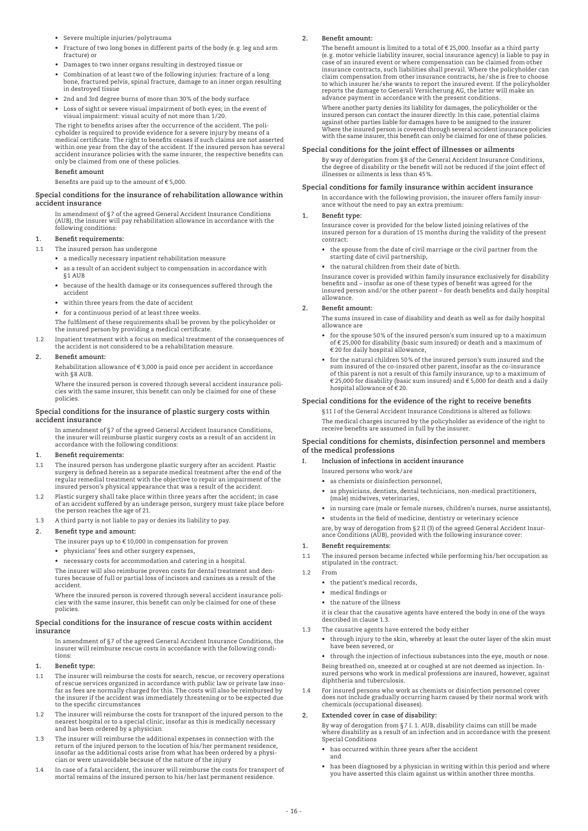- Severe multiple injuries/polytrauma
- Fracture of two long bones in different parts of the body (e.g. leg and arm fracture) or
- Damages to two inner organs resulting in destroyed tissue or
- Combination of at least two of the following injuries: fracture of a long bone, fractured pelvis, spinal fracture, damage to an inner organ resulting in destroyed tissue
- 2nd and 3rd degree burns of more than 30% of the body surface
- Loss of sight or severe visual impairment of both eyes; in the event of visual impairment: visual acuity of not more than 1/20.

 The right to benefits arises after the occurrence of the accident. The policyholder is required to provide evidence for a severe injury by means of a medical certificate. The right to benefits ceases if such claims are not asserted within one year from the day of the accident. If the insured person has several accident insurance policies with the same insurer, the respective benefits can only be claimed from one of these policies.

#### **Benefit amount**

Benefits are paid up to the amount of  $\epsilon$  5,000.

#### **Special conditions for the insurance of rehabilitation allowance within accident insurance**

 In amendment of §7 of the agreed General Accident Insurance Conditions (AUB), the insurer will pay rehabilitation allowance in accordance with the following conditions:

#### **1. Benefit requirements:**

1.1 The insured person has undergone

- a medically necessary inpatient rehabilitation measure
- as a result of an accident subject to compensation in accordance with
- §1 AUB
- because of the health damage or its consequences suffered through the accident
- within three years from the date of accident
- for a continuous period of at least three weeks.

The fulfilment of these requirements shall be proven by the policyholder or the insured person by providing a medical certificate.

1.2 Inpatient treatment with a focus on medical treatment of the consequences of the accident is not considered to be a rehabilitation measure.

# **2. Benefit amount:**

Rehabilitation allowance of  $\epsilon$  3,000 is paid once per accident in accordance with §8 AUB.

 Where the insured person is covered through several accident insurance policies with the same insurer, this benefit can only be claimed for one of these policies.

#### **Special conditions for the insurance of plastic surgery costs within accident insurance**

 In amendment of §7 of the agreed General Accident Insurance Conditions, the insurer will reimburse plastic surgery costs as a result of an accident in accordance with the following conditions:

# **1. Benefit requirements:**

- 1.1 The insured person has undergone plastic surgery after an accident. Plastic<br>surgery is defined herein as a separate medical treatment after the end of the<br>regular remedial treatment with the objective to repair an impa insured person's physical appearance that was a result of the accident.
- 1.2 Plastic surgery shall take place within three years after the accident; in case of an accident suffered by an underage person, surgery must take place before the person reaches the age of 21.
- 1.3 A third party is not liable to pay or denies its liability to pay.

# **2. Benefit type and amount:**

The insurer pays up to  $\epsilon$  10,000 in compensation for proven

 • physicians' fees and other surgery expenses,

 • necessary costs for accommodation and catering in a hospital.

 The insurer will also reimburse proven costs for dental treatment and den-tures because of full or partial loss of incisors and canines as a result of the accident.

 Where the insured person is covered through several accident insurance policies with the same insurer, this benefit can only be claimed for one of these policies.

#### **Special conditions for the insurance of rescue costs within accident insurance**

 In amendment of §7 of the agreed General Accident Insurance Conditions, the insurer will reimburse rescue costs in accordance with the following conditions:

- **1. Benefit type:**
- 1.1 The insurer will reimburse the costs for search, rescue, or recovery operations of rescue services organized in accordance with public law or private law inso-far as fees are normally charged for this. The costs will also be reimbursed by the insurer if the accident was immediately threatening or to be expected due to the specific circumstances
- 1.2 The insurer will reimburse the costs for transport of the injured person to the nearest hospital or to a special clinic, insofar as this is medically necessary and has been ordered by a physician
- 1.3 The insurer will reimburse the additional expenses in connection with the return of the injured person to the location of his/her permanent residence, insofar as the additional costs arise from what has been ordered by a physician or were unavoidable because of the nature of the injury
- 1.4 In case of a fatal accident, the insurer will reimburse the costs for transport of mortal remains of the insured person to his/her last permanent residence.

# **2. Benefit amount:**

The benefit amount is limited to a total of  $\epsilon$  25,000. Insofar as a third party (e.g. motor vehicle liability insurer, social insurance agency) is liable to pay in case of an insured event or where compensation can be claimed from other insurance contracts, such liabilities shall prevail. Where the policyholder can claim compensation from other insurance contracts, he/she is free to choose to which insurer he/she wants to report the insured event. If the policyholder reports the damage to Generali Versicherung AG, the latter will make an advance payment in accordance with the present conditions.

 Where another party denies its liability for damages, the policyholder or the insured person can contact the insurer directly. In this case, potential claims against other parties liable for damages have to be assigned to the insurer. Where the insured person is covered through several accident insurance policies with the same insurer, this benefit can only be claimed for one of these policies.

#### **Special conditions for the joint effect of illnesses or ailments**

 By way of derogation from §8 of the General Accident Insurance Conditions, the degree of disability or the benefit will not be reduced if the joint effect of illnesses or ailments is less than 45%.

# **Special conditions for family insurance within accident insurance**

 In accordance with the following provision, the insurer offers family insurance without the need to pay an extra premium:

## **1. Benefit type:**

 Insurance cover is provided for the below listed joining relatives of the insured person for a duration of 15 months during the validity of the present contract:

- the spouse from the date of civil marriage or the civil partner from the starting date of civil partnership,
- the natural children from their date of birth.

 Insurance cover is provided within family insurance exclusively for disability benefits and – insofar as one of these types of benefit was agreed for the insured person and/or the other parent – for death benefits and daily hospital allowance.

#### **2. Benefit amount:**

 The sums insured in case of disability and death as well as for daily hospital allowance are

- for the spouse 50% of the insured person's sum insured up to a maximum of € 25,000 for disability (basic sum insured) or death and a maximum of € 20 for daily hospital allowance,
- for the natural children 50% of the insured person's sum insured and the sum insured of the co-insured other parent, insofar as the co-insurance of this parent is not a result of this family insurance, up to a maximum of € 25,000 for disability (basic sum insured) and € 5,000 for death and a daily hospital allowance of € 20.

#### **Special conditions for the evidence of the right to receive benefits**

 §11 I of the General Accident Insurance Conditions is altered as follows: The medical charges incurred by the policyholder as evidence of the right to receive benefits are assumed in full by the insurer.

# **Special conditions for chemists, disinfection personnel and members of the medical professions**

#### **I. Inclusion of infections in accident insurance**

- Insured persons who work/are
- as chemists or disinfection personnel,
- as physicians, dentists, dental technicians, non-medical practitioners, (male) midwives, veterinaries,
- in nursing care (male or female nurses, children's nurses, nurse assistants), • students in the field of medicine, dentistry or veterinary science

 are, by way of derogation from §2 II (3) of the agreed General Accident Insurarc, by way of derogation from  $g_2$  if (b) of the agreed deficient recedent ance Conditions (AUB), provided with the following insurance cover:

# **1. Benefit requirements:**

1.1 The insured person became infected while performing his /her occupation as stipulated in the contract.

- 1.2 From
	- the patient's medical records
	- medical findings or
	- the nature of the illness

 it is clear that the causative agents have entered the body in one of the ways described in clause 1.3.

- 1.3 The causative agents have entered the body either
	- through injury to the skin, whereby at least the outer layer of the skin must have been severed, or

 • through the injection of infectious substances into the eye, mouth or nose. Being breathed on, sneezed at or coughed at are not deemed as injection. Insume persons who work in medical professions are insured, however, against diphtheria and tuberculosis.

1.4 For insured persons who work as chemists or disinfection personnel cover does not include gradually occurring harm caused by their normal work with chemicals (occupational diseases).

### **2. Extended cover in case of disability:**

 By way of derogation from §7 I. 1. AUB, disability claims can still be made where disability as a result of an infection and in accordance with the present Special Conditions

- has occurred within three years after the accident and
- has been diagnosed by a physician in writing within this period and where you have asserted this claim against us within another three months.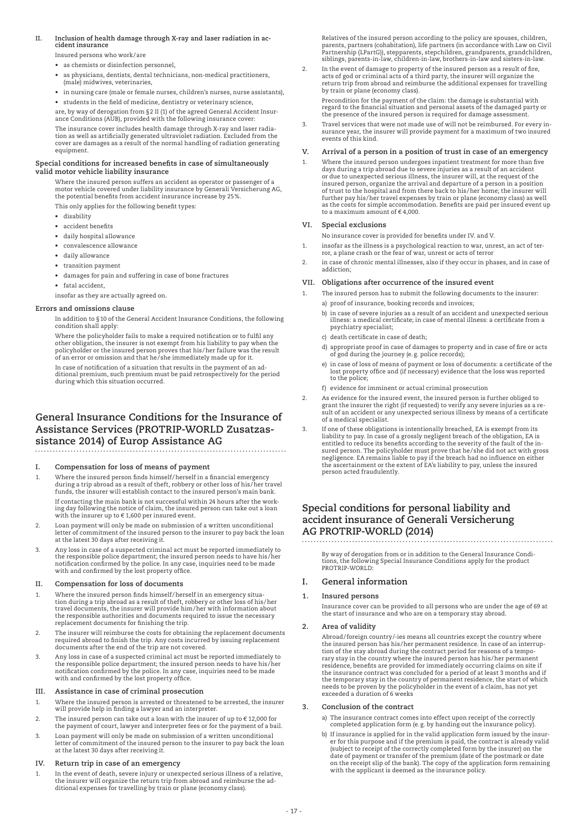# **II. Inclusion of health damage through X-ray and laser radiation in accident insurance**

Insured persons who work/are

- as chemists or disinfection personnel.
- as physicians, dentists, dental technicians, non-medical practitioners, (male) midwives, veterinaries,
- in nursing care (male or female nurses, children's nurses, nurse assistants),
- students in the field of medicine, dentistry or veterinary science, are, by way of derogation from §2 II (1) of the agreed General Accident Insur-

ance Conditions (AUB), provided with the following insurance cover: The insurance cover includes health damage through X-ray and laser radia-tion as well as artificially generated ultraviolet radiation. Excluded from the cover are damages as a result of the normal handling of radiation generating

# **Special conditions for increased benefits in case of simultaneously valid motor vehicle liability insurance**

 Where the insured person suffers an accident as operator or passenger of a motor vehicle covered under liability insurance by Generali Versicherung AG, the potential benefits from accident insurance increase by 25%.

This only applies for the following benefit types:

• disability

equipment.

- accident benefits
- daily hospital allowance
- convalescence allowance
- daily allowance
- transition payment
- damages for pain and suffering in case of bone fractures
- fatal accident.

insofar as they are actually agreed on.

#### **Errors and omissions clause**

 In addition to §10 of the General Accident Insurance Conditions, the following condition shall apply:

 Where the policyholder fails to make a required notification or to fulfil any other obligation, the insurer is not exempt from his liability to pay when the policyholder or the insured person proves that his/her failure was the result of an error or omission and that he/she immediately made up for it.

 In case of notification of a situation that results in the payment of an additional premium, such premium must be paid retrospectively for the period during which this situation occurred.

# **General Insurance Conditions for the Insurance of Assistance Services (PROTRIP-WORLD Zusatzassistance 2014) of Europ Assistance AG**

# **I. Compensation for loss of means of payment**

- 1. Where the insured person finds himself/herself in a financial emergency during a trip abroad as a result of theft, robbery or other loss of his/her travel funds, the insurer will establish contact to the insured person's main bank. If contacting the main bank is not successful within 24 hours after the working day following the notice of claim, the insured person can take out a loan with the insurer up to  $\epsilon$  1,600 per insured event.
- 2. Loan payment will only be made on submission of a written unconditional letter of commitment of the insured person to the insurer to pay back the loan at the latest 30 days after receiving it.
- 3. Any loss in case of a suspected criminal act must be reported immediately to the responsible police department; the insured person needs to have his /her notification confirmed by the police. In any case, inquiries need to be made with and confirmed by the lost property office.

# **II. Compensation for loss of documents**

- 1. Where the insured person finds himself/herself in an emergency situation during a trip abroad as a result of theft, robbery or other loss of his/her travel documents, the insurer will provide him/her with information ab replacement documents for finishing the trip.
- 2. The insurer will reimburse the costs for obtaining the replacement documents required abroad to finish the trip. Any costs incurred by issuing replacement documents after the end of the trip are not covered.
- 3. Any loss in case of a suspected criminal act must be reported immediately to the responsible police department; the insured person needs to have his /her notification confirmed by the police. In any case, inquiries need to be made with and confirmed by the lost property office.

# **III. Assistance in case of criminal prosecution**

- 1. Where the insured person is arrested or threatened to be arrested, the insurer will provide help in finding a lawyer and an interpreter.
- 2. The insured person can take out a loan with the insurer of up to € 12,000 for the payment of court, lawyer and interpreter fees or for the payment of a bail.
- 3. Loan payment will only be made on submission of a written unconditional letter of commitment of the insured person to the insurer to pay back the loan at the latest 30 days after receiving it.

#### **IV. Return trip in case of an emergency**

1. In the event of death, severe injury or unexpected serious illness of a relative, the insurer will organize the return trip from abroad and reimburse the additional expenses for travelling by train or plane (economy class).

Relatives of the insured person according to the policy are spouses, children,<br>parents, partners (cohabitation), life partners (in accordance with Law on Civil<br>Partnership (LPartG)), stepparents, stepchildren, grandparents siblings, parents-in-law, children-in-law, brothers-in-law and sisters-in-law.

2. In the event of damage to property of the insured person as a result of fire, acts of god or criminal acts of a third party, the insurer will organize the return trip from abroad and reimburse the additional expenses for travelling by train or plane (economy class).

 Precondition for the payment of the claim: the damage is substantial with regard to the financial situation and personal assets of the damaged party or the presence of the insured person is required for damage assessment.

3. Travel services that were not made use of will not be reimbursed. For every insurance year, the insurer will provide payment for a maximum of two insured events of this kind.

# **V. Arrival of a person in a position of trust in case of an emergency**

1. Where the insured person undergoes inpatient treatment for more than five days during a trip abroad due to severe injuries as a result of an accident or due to unexpected serious illness, the insurer will, at the request of the insured person, organize the arrival and departure of a person in a position of trust to the hospital and from there back to his/her home; the insurer will further pay his/her travel expenses by train or plane (economy class) as well as the costs for simple accommodation. Benefits are paid per insured event up to a maximum amount of  $\epsilon$  4,000.

#### **VI. Special exclusions**

- No insurance cover is provided for benefits under IV. and V.
- 1. insofar as the illness is a psychological reaction to war, unrest, an act of ter-ror, a plane crash or the fear of war, unrest or acts of terror
- 2. in case of chronic mental illnesses, also if they occur in phases, and in case of addiction;

### **VII. Obligations after occurrence of the insured event**

- 1. The insured person has to submit the following documents to the insurer: a) proof of insurance, booking records and invoices;
	- b) in case of severe injuries as a result of an accident and unexpected serious illness: a medical certificate; in case of mental illness: a certificate from a psychiatry specialist;
	- c) death certificate in case of death;
	- d) appropriate proof in case of damages to property and in case of fire or acts of god during the journey (e.g. police records);
	- e) in case of loss of means of payment or loss of documents: a certificate of the lost property office and (if necessary) evidence that the loss was reported to the police;
	- f) evidence for imminent or actual criminal prosecution
- 2. As evidence for the insured event, the insured person is further obliged to grant the insurer the right (if requested) to verify any severe injuries as a re-sult of an accident or any unexpected serious illness by means of a certificate of a medical specialist.
- If one of these obligations is intentionally breached, EA is exempt from its liability to pay. In case of a grossly negligent breach of the obligation, EA is entitled to reduce its benefits according to the severity of the fault of the insured person. The policyholder must prove that he/she did not act with gross<br>negligence. EA remains liable to pay if the breach had no influence on either<br>the ascertainment or the extent of EA's liability to pay, unless th person acted fraudulently.

# **Special conditions for personal liability and accident insurance of Generali Versicherung AG PROTRIP-WORLD (2014)**

 By way of derogation from or in addition to the General Insurance Conditions, the following Special Insurance Conditions apply for the product PROTRIP-WORLD:

# **I. General information**

#### **1. Insured persons**

 Insurance cover can be provided to all persons who are under the age of 69 at the start of insurance and who are on a temporary stay abroad.

#### **2. Area of validity**

 Abroad/foreign country/-ies means all countries except the country where the insured person has his/her permanent residence. In case of an interrup-tion of the stay abroad during the contract period for reasons of a temporary stay in the country where the insured person has his/her permanent residence, benefits are provided for immediately occurring claims on site if the insurance contract was concluded for a period of at least 3 months and if the temporary stay in the country of permanent residence, the start of which needs to be proven by the policyholder in the event of a claim, has not yet exceeded a duration of 6 weeks

#### **3. Conclusion of the contract**

- a) The insurance contract comes into effect upon receipt of the correctly completed application form (e.g. by handing out the insurance policy).
- b) If insurance is applied for in the valid application form issued by the insur-<br>er for this purpose and if the premium is paid, the contract is already valid<br>(subject to receipt of the correctly completed form by the ins on the receipt slip of the bank). The copy of the application form remaining with the applicant is deemed as the insurance policy.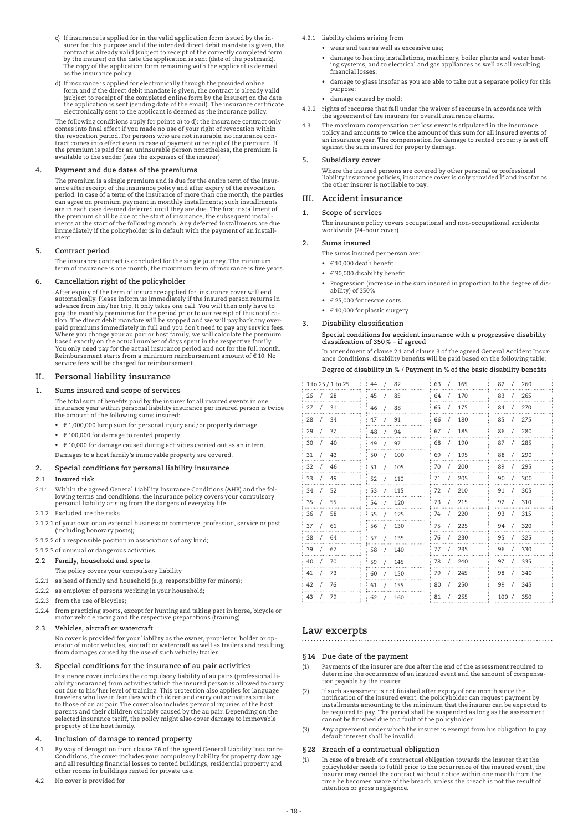- c) If insurance is applied for in the valid application form issued by the insurer for this purpose and if the intended direct debit mandate is given, the contract is already valid (subject to receipt of the correctly comp The copy of the application form remaining with the applicant is deemed as the insurance policy.
- d) If insurance is applied for electronically through the provided online form and if the direct debit mandate is given, the contract is already valid<br>(subject to receipt of the completed online form by the insurer) on the date<br>the application is sent (sending date of the email). The insurance c

 The following conditions apply for points a) to d): the insurance contract only comes into final effect if you made no use of your right of revocation within the revocation period. For persons who are not insurable, no insurance contract comes into effect even in case of payment or receipt of the premium. If the premium is paid for an uninsurable person nonetheless, the premium is available to the sender (less the expenses of the insurer).

### **4. Payment and due dates of the premiums**

 The premium is a single premium and is due for the entire term of the insurance after receipt of the insurance policy and after expiry of the revocation period. In case of a term of the insurance of more than one month, the parties can agree on premium payment in monthly installments; such installments are in each case deemed deferred until they are due. The first installment of the premium shall be due at the start of insurance, the subsequent installments at the start of the following month. Any deferred installments are due immediately if the policyholder is in default with the payment of an installment.

## **5. Contract period**

 The insurance contract is concluded for the single journey. The minimum term of insurance is one month, the maximum term of insurance is five years.

# **6. Cancellation right of the policyholder**

 After expiry of the term of insurance applied for, insurance cover will end automatically. Please inform us immediately if the insured person returns in advance from his/her trip. It only takes one call. You will then only have to pay the monthly premiums for the period prior to our receipt of this notification. The direct debit mandate will be stopped and we will pay back any over-<br>paid premiums immediately in full and you don't need to pay any service fees.<br>Where you change your au pair or host family, we will calculate th based exactly on the actual number of days spent in the respective family. You only need pay for the actual insurance period and not for the full month. Reimbursement starts from a minimum reimbursement amount of € 10. No service fees will be charged for reimbursement.

# **II. Personal liability insurance**

#### **1. Sums insured and scope of services**

 The total sum of benefits paid by the insurer for all insured events in one insurance year within personal liability insurance per insured person is twice the amount of the following sums insured:

 • € 1,000,000 lump sum for personal injury and/or property damage

- € 100,000 for damage to rented property
- € 10,000 for damage caused during activities carried out as an intern. Damages to a host family's immovable property are covered.

# **2. Special conditions for personal liability insurance**

#### **2.1 Insured risk**

- 2.1.1 Within the agreed General Liability Insurance Conditions (AHB) and the following terms and conditions, the insurance policy covers your compulsory personal liability arising from the dangers of everyday life.
- 2.1.2 Excluded are the risks
- 2.1.2.1 of your own or an external business or commerce, profession, service or post (including honorary posts);
- 2.1.2.2 of a responsible position in associations of any kind;

#### 2.1.2.3 of unusual or dangerous activities.

- **2.2 Family, household and sports**
- The policy covers your compulsory liability
- 2.2.1 as head of family and household (e.g. responsibility for minors);
- 2.2.2 as employer of persons working in your household;
- 2.2.3 from the use of bicycles;
- 2.2.4 from practicing sports, except for hunting and taking part in horse, bicycle or motor vehicle racing and the respective preparations (training)

#### **2.3 Vehicles, aircraft or watercraft**

 No cover is provided for your liability as the owner, proprietor, holder or op-erator of motor vehicles, aircraft or watercraft as well as trailers and resulting from damages caused by the use of such vehicle/trailer.

#### **3. Special conditions for the insurance of au pair activities**

 Insurance cover includes the compulsory liability of au pairs (professional liability insurance) from activities which the insured person is allowed to carry<br>out due to his/her level of training. This protection also applies for language<br>travelers who live in families with children and carry out act to those of an au pair. The cover also includes personal injuries of the host<br>parents and their children culpably caused by the au pair. Depending on the<br>selected insurance tariff, the policy might also cover damage to imm property of the host family.

# **4. Inclusion of damage to rented property**

- 4.1 By way of derogation from clause 7.6 of the agreed General Liability Insurance Conditions, the cover includes your compulsory liability for property damage and all resulting financial losses to rented buildings, residential property and other rooms in buildings rented for private use.
- 4.2 No cover is provided for

4.2.1 liability claims arising from

- wear and tear as well as excessive use:
- damage to heating installations, machinery, boiler plants and water heating systems, and to electrical and gas appliances as well as all resulting financial losses;
- damage to glass insofar as you are able to take out a separate policy for this purpose;
- damage caused by mold;
- 4.2.2 rights of recourse that fall under the waiver of recourse in accordance with the agreement of fire insurers for overall insurance claims.
- 4.3 The maximum compensation per loss event is stipulated in the insurance policy and amounts to twice the amount of this sum for all insured events of an insurance year. The compensation for damage to rented property is set off against the sum insured for property damage.

# **5. Subsidiary cover**

 Where the insured persons are covered by other personal or professional liability insurance policies, insurance cover is only provided if and insofar as the other insurer is not liable to pay.

# **III. Accident insurance**

## **1. Scope of services**

 The insurance policy covers occupational and non-occupational accidents worldwide (24-hour cover)

#### **2. Sums insured**

The sums insured per person are:

- $\cdot$   $\in$  10,000 death benefit
- € 30,000 disability benefit
- Progression (increase in the sum insured in proportion to the degree of disability) of 350%
- $\cdot$   $\in$  25,000 for rescue costs
- $\cdot$   $\in$  10,000 for plastic surgery
- **3. Disability classification**

#### **Special conditions for accident insurance with a progressive disability classification of 350% – if agreed**

 In amendment of clause 2.1 and clause 3 of the agreed General Accident Insurance Conditions, disability benefits will be paid based on the following table: **Degree of disability in % / Payment in % of the basic disability benefits**

| 1 to 25 / 1 to 25      | - 82<br>44/            | 165<br>63<br>$\sqrt{ }$ | 260<br>82<br>$\sqrt{2}$ |
|------------------------|------------------------|-------------------------|-------------------------|
| 26<br>28<br>$\sqrt{ }$ | 85<br>45<br>$\sqrt{ }$ | 170<br>64<br>$\prime$   | 265<br>83               |
| 27<br>31<br>$\prime$   | 88<br>46<br>$\prime$   | 175<br>65<br>$\prime$   | 270<br>84               |
| 28<br>34<br>$\sqrt{2}$ | 91<br>47<br>$\prime$   | 180<br>66<br>$\prime$   | 275<br>85               |
| 29<br>37               | 48<br>94<br>$\prime$   | 185<br>67<br>$\prime$   | 280<br>86               |
| 30<br>40               | 49<br>97               | 68<br>190<br>$\prime$   | 87<br>285               |
| 31<br>43               | 100<br>50              | 69<br>195<br>$\prime$   | 290<br>88               |
| 32<br>46<br>$\prime$   | 51<br>105<br>$\prime$  | 200<br>70<br>$\prime$   | 295<br>89               |
| 33<br>49               | 52<br>110<br>$\prime$  | 205<br>71<br>$\prime$   | 300<br>90               |
| 52<br>34<br>$\prime$   | 53<br>115<br>7         | 210<br>72<br>$\prime$   | 305<br>91<br>7          |
| 35<br>55<br>$\prime$   | 120<br>54<br>$\prime$  | 215<br>73<br>$\sqrt{2}$ | 310<br>92<br>$\prime$   |
| 36<br>58<br>$\prime$   | 125<br>55<br>$\prime$  | 220<br>74<br>$\prime$   | 315<br>93<br>$\prime$   |
| 37<br>61<br>$\prime$   | 56<br>130<br>$\prime$  | 225<br>75<br>$\prime$   | 320<br>94<br>$\prime$   |
| 38<br>64<br>$\sqrt{2}$ | 57<br>135<br>$\prime$  | 230<br>76<br>$\sqrt{2}$ | 325<br>95<br>$\prime$   |
| 39<br>67<br>$\prime$   | 58<br>140<br>$\prime$  | 235<br>77<br>$\sqrt{2}$ | 330<br>96<br>$\prime$   |
| 40<br>70<br>$\prime$   | 59<br>145<br>$\prime$  | 240<br>78<br>$\sqrt{2}$ | 335<br>97<br>$\prime$   |
| 41<br>73<br>$\prime$   | 60<br>150<br>$\prime$  | 245<br>79<br>$\sqrt{2}$ | 98<br>340<br>$\prime$   |
| 42<br>76<br>$\prime$   | 61<br>155<br>$\prime$  | 250<br>80<br>$\prime$   | 99<br>345<br>$\prime$   |
| 43<br>79<br>$\prime$   | 62<br>160<br>$\prime$  | 81<br>255<br>$\prime$   | 350<br>100/             |

# **Law excerpts**

#### **§14 Due date of the payment**

- (1) Payments of the insurer are due after the end of the assessment required to determine the occurrence of an insured event and the amount of compensation payable by the insurer.
- (2) If such assessment is not finished after expiry of one month since the notification of the insured event, the policyholder can request payment by installments amounting to the minimum that the insurer can be expected to be required to pay. The period shall be suspended as long as the assessment cannot be finished due to a fault of the policyholder.
- (3) Any agreement under which the insurer is exempt from his obligation to pay default interest shall be invalid.

# **§28 Breach of a contractual obligation**

(1) In case of a breach of a contractual obligation towards the insurer that the policyholder needs to fulfill prior to the occurrence of the insured event, the insurer may cancel the contract without notice within one month from the time he becomes aware of the breach, unless the breach is not the result of intention or gross negligence.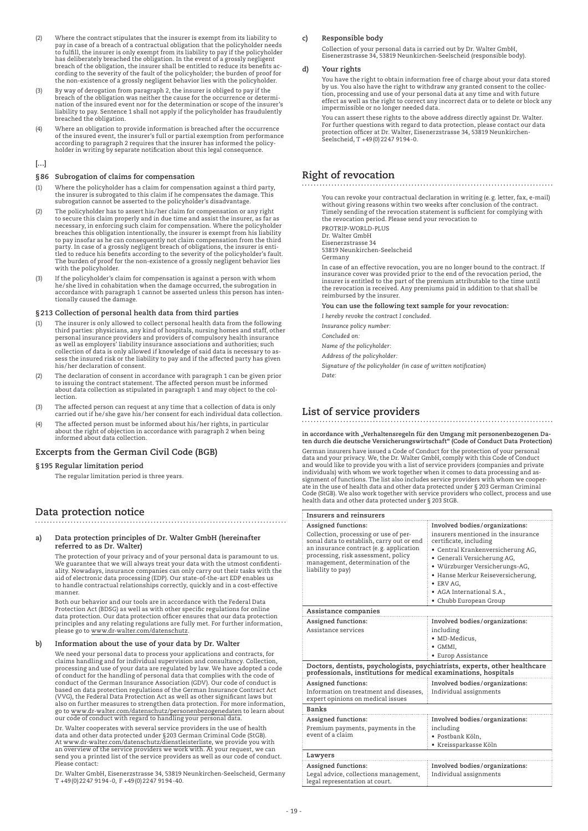- (2) Where the contract stipulates that the insurer is exempt from its liability to<br>pay in case of a breach of a contractual obligation that the policyholder needs<br>to fulfill, the insurer is only exempt from its liability t has deliberately breached the obligation. In the event of a grossly negligent breach of the obligation, the insurer shall be entitled to reduce its benefits according to the severity of the fault of the policyholder; the burden of proof for the non-existence of a grossly negligent behavior lies with the policyholder.
- (3) By way of derogation from paragraph 2, the insurer is obliged to pay if the breach of the obligation was neither the cause for the occurrence or determination of the insured event nor for the determination or scope of the insurer's liability to pay. Sentence 1 shall not apply if the policyholder has fraudulently breached the obligation.
- (4) Where an obligation to provide information is breached after the occurrence of the insured event, the insurer's full or partial exemption from performance according to paragraph 2 requires that the insurer has informed the policy-holder in writing by separate notification about this legal consequence.

# **[…]**

# **§86 Subrogation of claims for compensation**

- (1) Where the policyholder has a claim for compensation against a third party, the insurer is subrogated to this claim if he compensates the damage. This subrogation cannot be asserted to the policyholder's disadvantage.
- (2) The policyholder has to assert his/her claim for compensation or any right to secure this claim properly and in due time and assist the insurer, as far as necessary, in enforcing such claim for compensation. Where the policyholder breaches this obligation intentionally, the insurer is exempt from his liability to pay insofar as he can consequently not claim compensation from the third<br>party. In case of a grossly negligent breach of obligations, the insurer is enti-<br>tled to reduce his benefits according to the severity of the pol The burden of proof for the non-existence of a grossly negligent behavior lies with the policyholder.
- (3) If the policyholder's claim for compensation is against a person with whom<br>he/she lived in cohabitation when the damage occurred, the subrogation in<br>accordance with paragraph 1 cannot be asserted unless this person has

# **§213 Collection of personal health data from third parties**

- (1) The insurer is only allowed to collect personal health data from the following third parties: physicians, any kind of hospitals, nursing homes and staff, other personal insurance providers and providers of compulsory health insurance as well as employers' liability insurance associations and authorities; such collection of data is only allowed if knowledge of said data is necessary to assess the insured risk or the liability to pay and if the affected party has given his/her declaration of consent.
- (2) The declaration of consent in accordance with paragraph 1 can be given prior to issuing the contract statement. The affected person must be informed about data collection as stipulated in paragraph 1 and may object to the collection.
- (3) The affected person can request at any time that a collection of data is only carried out if he/she gave his/her consent for each individual data collection.
- (4) The affected person must be informed about his/her rights, in particular about the right of objection in accordance with paragraph 2 when being informed about data collection.

# **Excerpts from the German Civil Code (BGB)**

# **§195 Regular limitation period**

The regular limitation period is three years.

# **Data protection notice**

| a) | Data protection principles of Dr. Walter GmbH (hereinafter |
|----|------------------------------------------------------------|
|    | referred to as Dr. Walter)                                 |

 The protection of your privacy and of your personal data is paramount to us. We guarantee that we will always treat your data with the utmost confidentiality. Nowadays, insurance companies can only carry out their tasks with the aid of electronic data processing (EDP). Our state-of-the-art EDP enables us to handle contractual relationships correctly, quickly and in a cost-effective manner.

 Both our behavior and our tools are in accordance with the Federal Data Protection Act (BDSG) as well as with other specific regulations for online data protection. Our data protection officer ensures that our data protection principles and any relating regulations are fully met. For further information, please go to www.dr-walter.com/datenschutz.

# **b) Information about the use of your data by Dr. Walter**

 We need your personal data to process your applications and contracts, for claims handling and for individual supervision and consultancy. Collection,<br>processing and use of your data are regulated by law. We have adopted a code<br>of conduct for the handling of personal data that complies with the c conduct of the German Insurance Association (GDV). Our code of conduct is based on data protection regulations of the German Insurance Contract Act (VVG), the Federal Data Protection Act as well as other significant laws but also on further measures to strengthen data protection. For more information, go to www.dr-walter.com/datenschutz/personenbezogenedaten to learn about our code of conduct with regard to handling your personal data.

 Dr. Walter cooperates with several service providers in the use of health data and other data protected under §203 German Criminal Code (StGB). At www.dr-walter.com/datenschutz/dienstleisterliste, we provide you with an overview of the service providers we work with. At your request, we can send you a printed list of the service providers as well as our code of conduct. Please contact:

 Dr. Walter GmbH, Eisenerzstrasse 34, 53819 Neunkirchen-Seelscheid, Germany T +49(0)2247 9194-0, F +49(0)2247 9194-40.

# **c) Responsible body**

 Collection of your personal data is carried out by Dr. Walter GmbH, Eisenerzstrasse 34, 53819 Neunkirchen-Seelscheid (responsible body).

# **d) Your rights**

You have the right to obtain information free of charge about your data stored<br>by us. You also have the right to withdraw any granted consent to the collec-<br>tion, processing and use of your personal data at any time and wi effect as well as the right to correct any incorrect data or to delete or block any impermissible or no longer needed data.

 You can assert these rights to the above address directly against Dr. Walter. For further questions with regard to data protection, please contact our data protection officer at Dr. Walter, Eisenerzstrasse 34, 53819 Neunkirchen-Seelscheid, T +49(0)2247 9194-0.

# **Right of revocation**

 You can revoke your contractual declaration in writing (e.g. letter, fax, e-mail) without giving reasons within two weeks after conclusion of the contract Timely sending of the revocation statement is sufficient for complying with the revocation period. Please send your revocation to PROTRIP-WORLD-PLUS

Dr. Walter GmbH Eisenerzstrasse 34

53819 Neunkirchen-Seelscheid Germany

 In case of an effective revocation, you are no longer bound to the contract. If insurance cover was provided prior to the end of the revocation period, the<br>insurer is entitled to the part of the premium attributable to the time until<br>the revocation is received. Any premiums paid in addition to that sh reimbursed by the insurer.

# **You can use the following text sample for your revocation:**

 *I hereby revoke the contract I concluded.*

 *Insurance policy number:*

 *Concluded on:*

 *Name of the policyholder:*

 *Address of the policyholder:*

 *Signature of the policyholder (in case of written notification) Date:*

# **List of service providers**

**in accordance with "Verhaltensregeln für den Umgang mit personenbezogenen Da-ten durch die deutsche Versicherungswirtschaft" (Code of Conduct Data Protection)** German insurers have issued a Code of Conduct for the protection of your personal data and your privacy. We, the Dr. Walter GmbH, comply with this Code of Conduct and would like to provide you with a list of service providers (companies and private individuals) with whom we work together when it comes to data processing and as-<br>signment of functions. The list also includes service providers with whom we cooper-<br>ate in the use of health data and other data protected u health data and other data protected under § 203 StGB.

| Insurers and reinsurers                                                                                                                                                                                                                              |                                                                                                                                                                                                                                                                                                              |  |  |
|------------------------------------------------------------------------------------------------------------------------------------------------------------------------------------------------------------------------------------------------------|--------------------------------------------------------------------------------------------------------------------------------------------------------------------------------------------------------------------------------------------------------------------------------------------------------------|--|--|
| Assigned functions:<br>Collection, processing or use of per-<br>sonal data to establish, carry out or end<br>an insurance contract (e.g. application<br>processing, risk assessment, policy<br>management, determination of the<br>liability to pay) | Involved bodies/organizations:<br>insurers mentioned in the insurance<br>certificate, including<br>• Central Krankenversicherung AG,<br>· Generali Versicherung AG,<br>· Würzburger Versicherungs-AG,<br>· Hanse Merkur Reiseversicherung,<br>• ERV AG.<br>• AGA International S.A<br>• Chubb European Group |  |  |
| Assistance companies                                                                                                                                                                                                                                 |                                                                                                                                                                                                                                                                                                              |  |  |
| Assigned functions:                                                                                                                                                                                                                                  | Involved bodies/organizations:                                                                                                                                                                                                                                                                               |  |  |
| Assistance services                                                                                                                                                                                                                                  | including                                                                                                                                                                                                                                                                                                    |  |  |
|                                                                                                                                                                                                                                                      | · MD-Medicus.                                                                                                                                                                                                                                                                                                |  |  |
|                                                                                                                                                                                                                                                      | $\bullet$ GMMI.                                                                                                                                                                                                                                                                                              |  |  |
|                                                                                                                                                                                                                                                      | • Europ Assistance                                                                                                                                                                                                                                                                                           |  |  |
| Doctors, dentists, psychologists, psychiatrists, experts, other healthcare<br>professionals, institutions for medical examinations, hospitals                                                                                                        |                                                                                                                                                                                                                                                                                                              |  |  |
| Assigned functions:                                                                                                                                                                                                                                  | Involved bodies/organizations:                                                                                                                                                                                                                                                                               |  |  |
| Information on treatment and diseases,<br>expert opinions on medical issues                                                                                                                                                                          | Individual assignments                                                                                                                                                                                                                                                                                       |  |  |
| <b>Banks</b>                                                                                                                                                                                                                                         |                                                                                                                                                                                                                                                                                                              |  |  |
|                                                                                                                                                                                                                                                      |                                                                                                                                                                                                                                                                                                              |  |  |
| Assigned functions:                                                                                                                                                                                                                                  | Involved bodies/organizations:                                                                                                                                                                                                                                                                               |  |  |
| Premium payments, payments in the<br>event of a claim                                                                                                                                                                                                | including                                                                                                                                                                                                                                                                                                    |  |  |
|                                                                                                                                                                                                                                                      | • Postbank Köln.                                                                                                                                                                                                                                                                                             |  |  |
|                                                                                                                                                                                                                                                      | • Kreissparkasse Köln                                                                                                                                                                                                                                                                                        |  |  |
| Lawyers                                                                                                                                                                                                                                              |                                                                                                                                                                                                                                                                                                              |  |  |
| Assigned functions:                                                                                                                                                                                                                                  | Involved bodies/organizations:                                                                                                                                                                                                                                                                               |  |  |
| Legal advice, collections management,<br>legal representation at court.                                                                                                                                                                              | Individual assignments                                                                                                                                                                                                                                                                                       |  |  |